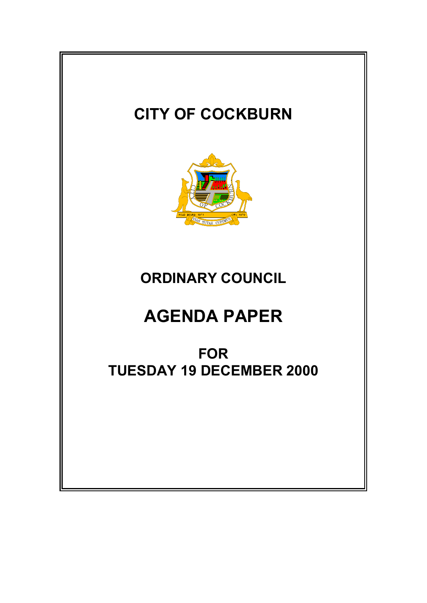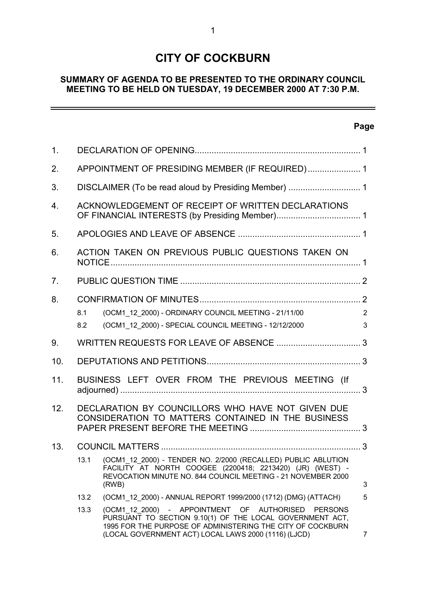# **CITY OF COCKBURN**

# **SUMMARY OF AGENDA TO BE PRESENTED TO THE ORDINARY COUNCIL MEETING TO BE HELD ON TUESDAY, 19 DECEMBER 2000 AT 7:30 P.M.**

# **Page**

 $\overline{\phantom{0}}$ 

| 1.  |                                                    |                                                                                                                                                                                                                                                   |        |
|-----|----------------------------------------------------|---------------------------------------------------------------------------------------------------------------------------------------------------------------------------------------------------------------------------------------------------|--------|
| 2.  | APPOINTMENT OF PRESIDING MEMBER (IF REQUIRED) 1    |                                                                                                                                                                                                                                                   |        |
| 3.  |                                                    |                                                                                                                                                                                                                                                   |        |
| 4.  | ACKNOWLEDGEMENT OF RECEIPT OF WRITTEN DECLARATIONS |                                                                                                                                                                                                                                                   |        |
| 5.  |                                                    |                                                                                                                                                                                                                                                   |        |
| 6.  | ACTION TAKEN ON PREVIOUS PUBLIC QUESTIONS TAKEN ON |                                                                                                                                                                                                                                                   |        |
| 7.  |                                                    |                                                                                                                                                                                                                                                   |        |
| 8.  | 8.1<br>8.2                                         | (OCM1_12_2000) - ORDINARY COUNCIL MEETING - 21/11/00<br>(OCM1 12 2000) - SPECIAL COUNCIL MEETING - 12/12/2000                                                                                                                                     | 2<br>3 |
| 9.  |                                                    |                                                                                                                                                                                                                                                   |        |
| 10. |                                                    |                                                                                                                                                                                                                                                   |        |
| 11. |                                                    | BUSINESS LEFT OVER FROM THE PREVIOUS MEETING (If                                                                                                                                                                                                  |        |
| 12. |                                                    | DECLARATION BY COUNCILLORS WHO HAVE NOT GIVEN DUE<br>CONSIDERATION TO MATTERS CONTAINED IN THE BUSINESS                                                                                                                                           |        |
| 13. |                                                    |                                                                                                                                                                                                                                                   |        |
|     | 13.1                                               | (OCM1 12 2000) - TENDER NO. 2/2000 (RECALLED) PUBLIC ABLUTION<br>FACILITY AT NORTH COOGEE (2200418; 2213420) (JR) (WEST) -<br>REVOCATION MINUTE NO. 844 COUNCIL MEETING - 21 NOVEMBER 2000<br>(RWB)                                               | 3      |
|     | 13.2                                               | (OCM1 12 2000) - ANNUAL REPORT 1999/2000 (1712) (DMG) (ATTACH)                                                                                                                                                                                    | 5      |
|     | 13.3                                               | (OCM1 12 2000) - APPOINTMENT<br>OF AUTHORISED<br><b>PERSONS</b><br>PURSUANT TO SECTION 9.10(1) OF THE LOCAL GOVERNMENT ACT,<br>1995 FOR THE PURPOSE OF ADMINISTERING THE CITY OF COCKBURN<br>(LOCAL GOVERNMENT ACT) LOCAL LAWS 2000 (1116) (LJCD) | 7      |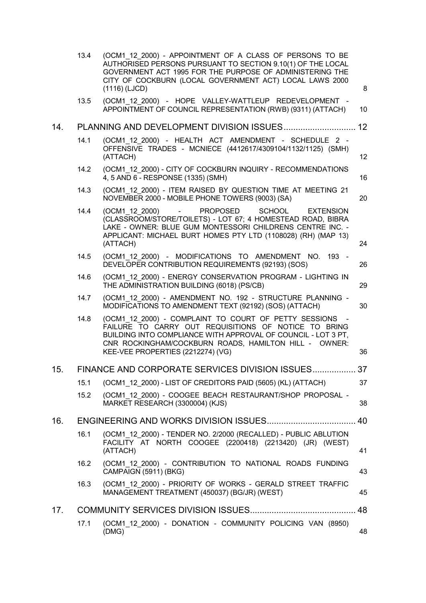|     | 13.4 | (OCM1 12 2000) - APPOINTMENT OF A CLASS OF PERSONS TO BE<br>AUTHORISED PERSONS PURSUANT TO SECTION 9.10(1) OF THE LOCAL<br>GOVERNMENT ACT 1995 FOR THE PURPOSE OF ADMINISTERING THE<br>CITY OF COCKBURN (LOCAL GOVERNMENT ACT) LOCAL LAWS 2000<br>(1116) (LJCD)                 | 8  |
|-----|------|---------------------------------------------------------------------------------------------------------------------------------------------------------------------------------------------------------------------------------------------------------------------------------|----|
|     | 13.5 | (OCM1 12 2000) - HOPE VALLEY-WATTLEUP REDEVELOPMENT -<br>APPOINTMENT OF COUNCIL REPRESENTATION (RWB) (9311) (ATTACH)                                                                                                                                                            | 10 |
| 14. |      |                                                                                                                                                                                                                                                                                 | 12 |
|     | 14.1 | (OCM1 12 2000) - HEALTH ACT AMENDMENT - SCHEDULE 2 -<br>OFFENSIVE TRADES - MCNIECE (4412617/4309104/1132/1125) (SMH)<br>(ATTACH)                                                                                                                                                | 12 |
|     | 14.2 | (OCM1_12_2000) - CITY OF COCKBURN INQUIRY - RECOMMENDATIONS<br>4, 5 AND 6 - RESPONSE (1335) (SMH)                                                                                                                                                                               | 16 |
|     | 14.3 | (OCM1 12 2000) - ITEM RAISED BY QUESTION TIME AT MEETING 21<br>NOVEMBER 2000 - MOBILE PHONE TOWERS (9003) (SA)                                                                                                                                                                  | 20 |
|     | 14.4 | (OCM1 12 2000)<br><b>PROPOSED</b><br><b>SCHOOL</b><br><b>EXTENSION</b><br>(CLASSROOM/STORE/TOILETS) - LOT 67; 4 HOMESTEAD ROAD, BIBRA<br>LAKE - OWNER: BLUE GUM MONTESSORI CHILDRENS CENTRE INC. -<br>APPLICANT: MICHAEL BURT HOMES PTY LTD (1108028) (RH) (MAP 13)<br>(ATTACH) | 24 |
|     | 14.5 | (OCM1 12 2000) - MODIFICATIONS TO AMENDMENT NO. 193 -<br>DEVELOPER CONTRIBUTION REQUIREMENTS (92193) (SOS)                                                                                                                                                                      | 26 |
|     | 14.6 | (OCM1 12 2000) - ENERGY CONSERVATION PROGRAM - LIGHTING IN<br>THE ADMINISTRATION BUILDING (6018) (PS/CB)                                                                                                                                                                        | 29 |
|     | 14.7 | (OCM1 12 2000) - AMENDMENT NO. 192 - STRUCTURE PLANNING -<br>MODIFICATIONS TO AMENDMENT TEXT (92192) (SOS) (ATTACH)                                                                                                                                                             | 30 |
|     | 14.8 | (OCM1 12 2000) - COMPLAINT TO COURT OF PETTY SESSIONS<br>FAILURE TO CARRY OUT REQUISITIONS OF NOTICE TO BRING<br>BUILDING INTO COMPLIANCE WITH APPROVAL OF COUNCIL - LOT 3 PT,<br>CNR ROCKINGHAM/COCKBURN ROADS, HAMILTON HILL - OWNER:<br>KEE-VEE PROPERTIES (2212274) (VG)    | 36 |
| 15. |      | FINANCE AND CORPORATE SERVICES DIVISION ISSUES.                                                                                                                                                                                                                                 | 37 |
|     | 15.1 | (OCM1 12 2000) - LIST OF CREDITORS PAID (5605) (KL) (ATTACH)                                                                                                                                                                                                                    | 37 |
|     | 15.2 | (OCM1 12 2000) - COOGEE BEACH RESTAURANT/SHOP PROPOSAL -<br>MARKET RESEARCH (3300004) (KJS)                                                                                                                                                                                     | 38 |
| 16. |      |                                                                                                                                                                                                                                                                                 | 40 |
|     | 16.1 | (OCM1_12_2000) - TENDER NO. 2/2000 (RECALLED) - PUBLIC ABLUTION<br>FACILITY AT NORTH COOGEE (2200418) (2213420) (JR) (WEST)<br>(ATTACH)                                                                                                                                         | 41 |
|     | 16.2 | (OCM1 12 2000) - CONTRIBUTION TO NATIONAL ROADS FUNDING<br>CAMPAIGN (5911) (BKG)                                                                                                                                                                                                | 43 |
|     | 16.3 | (OCM1 12 2000) - PRIORITY OF WORKS - GERALD STREET TRAFFIC<br>MANAGEMENT TREATMENT (450037) (BG/JR) (WEST)                                                                                                                                                                      | 45 |
| 17. |      |                                                                                                                                                                                                                                                                                 | 48 |
|     | 17.1 | (OCM1 12 2000) - DONATION - COMMUNITY POLICING VAN (8950)<br>(DMG)                                                                                                                                                                                                              | 48 |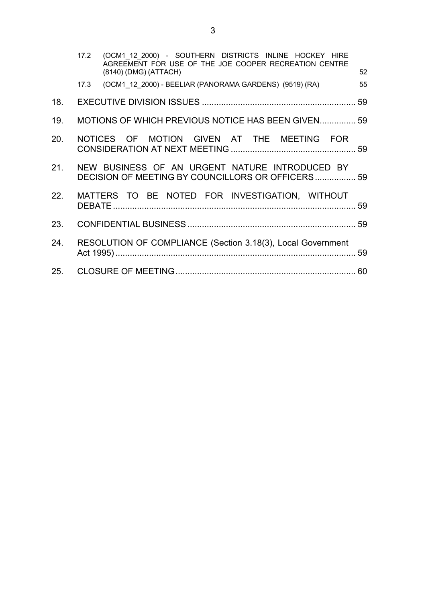|     | 17.2 (OCM1_12_2000) - SOUTHERN DISTRICTS INLINE HOCKEY HIRE<br>AGREEMENT FOR USE OF THE JOE COOPER RECREATION CENTRE<br>(8140) (DMG) (ATTACH) | 52 |
|-----|-----------------------------------------------------------------------------------------------------------------------------------------------|----|
|     | 17.3 (OCM1_12_2000) - BEELIAR (PANORAMA GARDENS) (9519) (RA)                                                                                  | 55 |
| 18. |                                                                                                                                               |    |
| 19. | MOTIONS OF WHICH PREVIOUS NOTICE HAS BEEN GIVEN 59                                                                                            |    |
| 20. | NOTICES OF MOTION GIVEN AT THE MEETING FOR                                                                                                    |    |
| 21. | NEW BUSINESS OF AN URGENT NATURE INTRODUCED BY<br>DECISION OF MEETING BY COUNCILLORS OR OFFICERS 59                                           |    |
| 22. | MATTERS TO BE NOTED FOR INVESTIGATION, WITHOUT                                                                                                |    |
| 23. |                                                                                                                                               |    |
| 24. | RESOLUTION OF COMPLIANCE (Section 3.18(3), Local Government                                                                                   |    |
|     |                                                                                                                                               |    |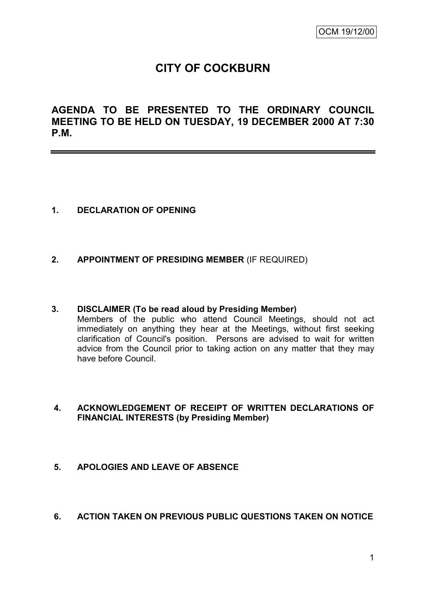# **CITY OF COCKBURN**

**AGENDA TO BE PRESENTED TO THE ORDINARY COUNCIL MEETING TO BE HELD ON TUESDAY, 19 DECEMBER 2000 AT 7:30 P.M.**

### **1. DECLARATION OF OPENING**

### **2. APPOINTMENT OF PRESIDING MEMBER** (IF REQUIRED)

# **3. DISCLAIMER (To be read aloud by Presiding Member)**

Members of the public who attend Council Meetings, should not act immediately on anything they hear at the Meetings, without first seeking clarification of Council's position. Persons are advised to wait for written advice from the Council prior to taking action on any matter that they may have before Council.

# **4. ACKNOWLEDGEMENT OF RECEIPT OF WRITTEN DECLARATIONS OF FINANCIAL INTERESTS (by Presiding Member)**

### **5. APOLOGIES AND LEAVE OF ABSENCE**

**6. ACTION TAKEN ON PREVIOUS PUBLIC QUESTIONS TAKEN ON NOTICE**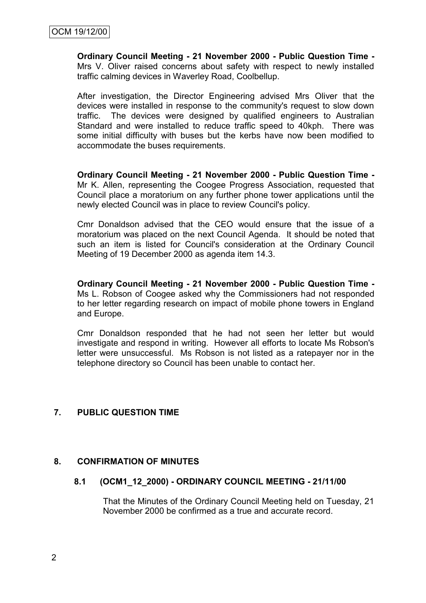**Ordinary Council Meeting - 21 November 2000 - Public Question Time -** Mrs V. Oliver raised concerns about safety with respect to newly installed traffic calming devices in Waverley Road, Coolbellup.

After investigation, the Director Engineering advised Mrs Oliver that the devices were installed in response to the community's request to slow down traffic. The devices were designed by qualified engineers to Australian Standard and were installed to reduce traffic speed to 40kph. There was some initial difficulty with buses but the kerbs have now been modified to accommodate the buses requirements.

**Ordinary Council Meeting - 21 November 2000 - Public Question Time -** Mr K. Allen, representing the Coogee Progress Association, requested that Council place a moratorium on any further phone tower applications until the newly elected Council was in place to review Council's policy.

Cmr Donaldson advised that the CEO would ensure that the issue of a moratorium was placed on the next Council Agenda. It should be noted that such an item is listed for Council's consideration at the Ordinary Council Meeting of 19 December 2000 as agenda item 14.3.

**Ordinary Council Meeting - 21 November 2000 - Public Question Time -** Ms L. Robson of Coogee asked why the Commissioners had not responded to her letter regarding research on impact of mobile phone towers in England and Europe.

Cmr Donaldson responded that he had not seen her letter but would investigate and respond in writing. However all efforts to locate Ms Robson's letter were unsuccessful. Ms Robson is not listed as a ratepayer nor in the telephone directory so Council has been unable to contact her.

### **7. PUBLIC QUESTION TIME**

### **8. CONFIRMATION OF MINUTES**

### **8.1 (OCM1\_12\_2000) - ORDINARY COUNCIL MEETING - 21/11/00**

That the Minutes of the Ordinary Council Meeting held on Tuesday, 21 November 2000 be confirmed as a true and accurate record.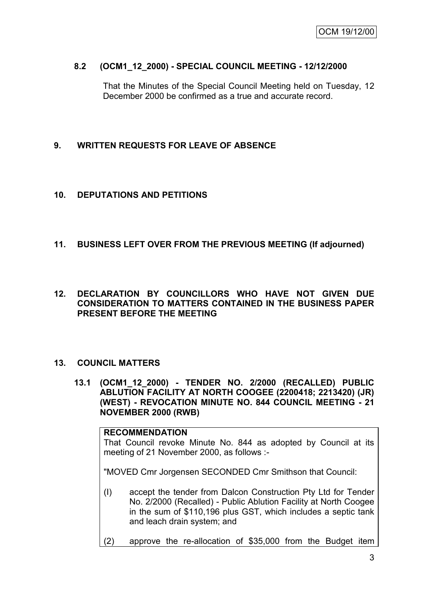### **8.2 (OCM1\_12\_2000) - SPECIAL COUNCIL MEETING - 12/12/2000**

That the Minutes of the Special Council Meeting held on Tuesday, 12 December 2000 be confirmed as a true and accurate record.

### **9. WRITTEN REQUESTS FOR LEAVE OF ABSENCE**

#### **10. DEPUTATIONS AND PETITIONS**

### **11. BUSINESS LEFT OVER FROM THE PREVIOUS MEETING (If adjourned)**

### **12. DECLARATION BY COUNCILLORS WHO HAVE NOT GIVEN DUE CONSIDERATION TO MATTERS CONTAINED IN THE BUSINESS PAPER PRESENT BEFORE THE MEETING**

#### **13. COUNCIL MATTERS**

**13.1 (OCM1\_12\_2000) - TENDER NO. 2/2000 (RECALLED) PUBLIC ABLUTION FACILITY AT NORTH COOGEE (2200418; 2213420) (JR) (WEST) - REVOCATION MINUTE NO. 844 COUNCIL MEETING - 21 NOVEMBER 2000 (RWB)**

# **RECOMMENDATION** That Council revoke Minute No. 844 as adopted by Council at its meeting of 21 November 2000, as follows :- "MOVED Cmr Jorgensen SECONDED Cmr Smithson that Council: (I) accept the tender from Dalcon Construction Pty Ltd for Tender No. 2/2000 (Recalled) - Public Ablution Facility at North Coogee in the sum of \$110,196 plus GST, which includes a septic tank

(2) approve the re-allocation of \$35,000 from the Budget item

and leach drain system; and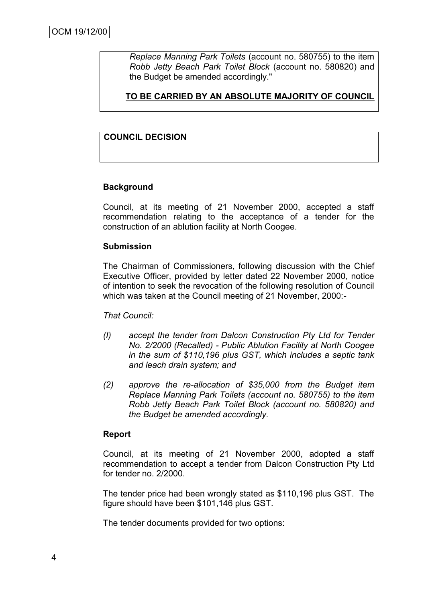*Replace Manning Park Toilets* (account no. 580755) to the item *Robb Jetty Beach Park Toilet Block* (account no. 580820) and the Budget be amended accordingly."

**TO BE CARRIED BY AN ABSOLUTE MAJORITY OF COUNCIL**

# **COUNCIL DECISION**

### **Background**

Council, at its meeting of 21 November 2000, accepted a staff recommendation relating to the acceptance of a tender for the construction of an ablution facility at North Coogee.

### **Submission**

The Chairman of Commissioners, following discussion with the Chief Executive Officer, provided by letter dated 22 November 2000, notice of intention to seek the revocation of the following resolution of Council which was taken at the Council meeting of 21 November, 2000:-

### *That Council:*

- *(I) accept the tender from Dalcon Construction Pty Ltd for Tender No. 2/2000 (Recalled) - Public Ablution Facility at North Coogee in the sum of \$110,196 plus GST, which includes a septic tank and leach drain system; and*
- *(2) approve the re-allocation of \$35,000 from the Budget item Replace Manning Park Toilets (account no. 580755) to the item Robb Jetty Beach Park Toilet Block (account no. 580820) and the Budget be amended accordingly.*

### **Report**

Council, at its meeting of 21 November 2000, adopted a staff recommendation to accept a tender from Dalcon Construction Pty Ltd for tender no. 2/2000.

The tender price had been wrongly stated as \$110,196 plus GST. The figure should have been \$101,146 plus GST.

The tender documents provided for two options: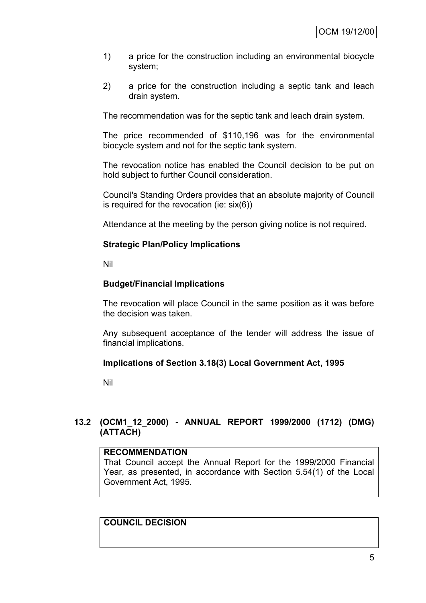- 1) a price for the construction including an environmental biocycle system;
- 2) a price for the construction including a septic tank and leach drain system.

The recommendation was for the septic tank and leach drain system.

The price recommended of \$110,196 was for the environmental biocycle system and not for the septic tank system.

The revocation notice has enabled the Council decision to be put on hold subject to further Council consideration.

Council's Standing Orders provides that an absolute majority of Council is required for the revocation (ie: six(6))

Attendance at the meeting by the person giving notice is not required.

### **Strategic Plan/Policy Implications**

Nil

### **Budget/Financial Implications**

The revocation will place Council in the same position as it was before the decision was taken.

Any subsequent acceptance of the tender will address the issue of financial implications.

### **Implications of Section 3.18(3) Local Government Act, 1995**

Nil

### **13.2 (OCM1\_12\_2000) - ANNUAL REPORT 1999/2000 (1712) (DMG) (ATTACH)**

### **RECOMMENDATION**

That Council accept the Annual Report for the 1999/2000 Financial Year, as presented, in accordance with Section 5.54(1) of the Local Government Act, 1995.

**COUNCIL DECISION**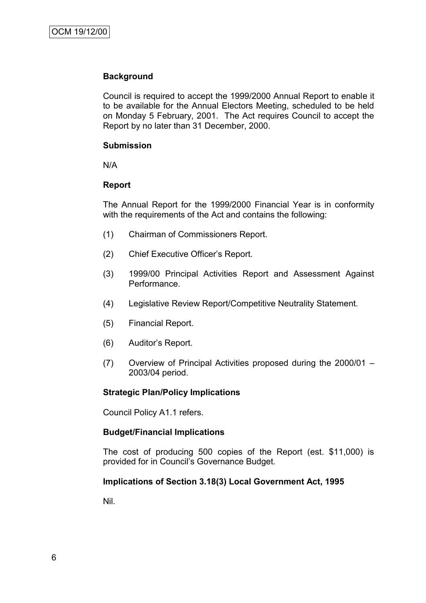### **Background**

Council is required to accept the 1999/2000 Annual Report to enable it to be available for the Annual Electors Meeting, scheduled to be held on Monday 5 February, 2001. The Act requires Council to accept the Report by no later than 31 December, 2000.

### **Submission**

N/A

### **Report**

The Annual Report for the 1999/2000 Financial Year is in conformity with the requirements of the Act and contains the following:

- (1) Chairman of Commissioners Report.
- (2) Chief Executive Officer"s Report.
- (3) 1999/00 Principal Activities Report and Assessment Against Performance.
- (4) Legislative Review Report/Competitive Neutrality Statement.
- (5) Financial Report.
- (6) Auditor"s Report.
- (7) Overview of Principal Activities proposed during the 2000/01 2003/04 period.

### **Strategic Plan/Policy Implications**

Council Policy A1.1 refers.

### **Budget/Financial Implications**

The cost of producing 500 copies of the Report (est. \$11,000) is provided for in Council"s Governance Budget.

### **Implications of Section 3.18(3) Local Government Act, 1995**

Nil.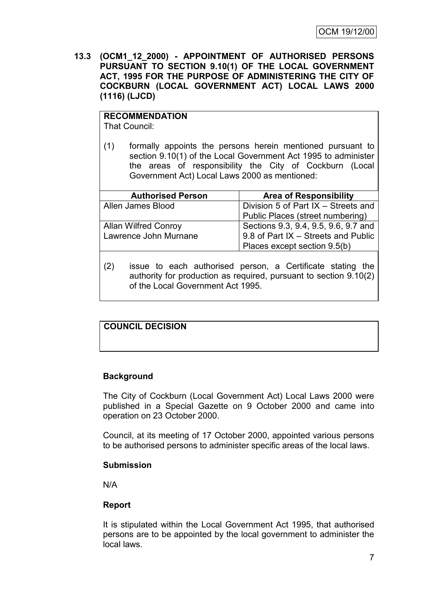**13.3 (OCM1\_12\_2000) - APPOINTMENT OF AUTHORISED PERSONS PURSUANT TO SECTION 9.10(1) OF THE LOCAL GOVERNMENT ACT, 1995 FOR THE PURPOSE OF ADMINISTERING THE CITY OF COCKBURN (LOCAL GOVERNMENT ACT) LOCAL LAWS 2000 (1116) (LJCD)**

# **RECOMMENDATION**

That Council:

(1) formally appoints the persons herein mentioned pursuant to section 9.10(1) of the Local Government Act 1995 to administer the areas of responsibility the City of Cockburn (Local Government Act) Local Laws 2000 as mentioned:

| <b>Authorised Person</b>    | <b>Area of Responsibility</b>        |
|-----------------------------|--------------------------------------|
| Allen James Blood           | Division 5 of Part IX - Streets and  |
|                             | Public Places (street numbering)     |
| <b>Allan Wilfred Conroy</b> | Sections 9.3, 9.4, 9.5, 9.6, 9.7 and |
| Lawrence John Murnane       | 9.8 of Part IX - Streets and Public  |
|                             | Places except section 9.5(b)         |

(2) issue to each authorised person, a Certificate stating the authority for production as required, pursuant to section 9.10(2) of the Local Government Act 1995.

# **COUNCIL DECISION**

# **Background**

The City of Cockburn (Local Government Act) Local Laws 2000 were published in a Special Gazette on 9 October 2000 and came into operation on 23 October 2000.

Council, at its meeting of 17 October 2000, appointed various persons to be authorised persons to administer specific areas of the local laws.

### **Submission**

N/A

### **Report**

It is stipulated within the Local Government Act 1995, that authorised persons are to be appointed by the local government to administer the local laws.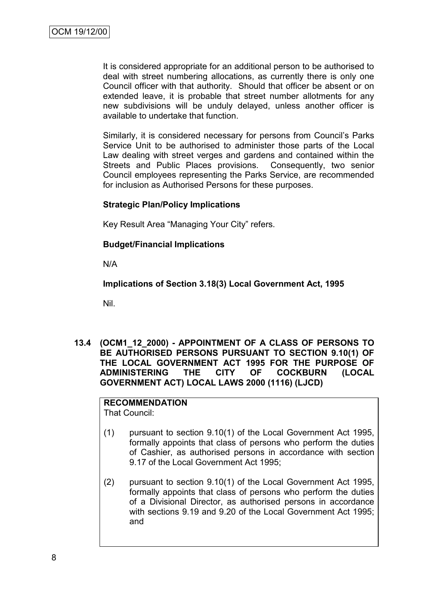It is considered appropriate for an additional person to be authorised to deal with street numbering allocations, as currently there is only one Council officer with that authority. Should that officer be absent or on extended leave, it is probable that street number allotments for any new subdivisions will be unduly delayed, unless another officer is available to undertake that function.

Similarly, it is considered necessary for persons from Council"s Parks Service Unit to be authorised to administer those parts of the Local Law dealing with street verges and gardens and contained within the Streets and Public Places provisions. Consequently, two senior Council employees representing the Parks Service, are recommended for inclusion as Authorised Persons for these purposes.

### **Strategic Plan/Policy Implications**

Key Result Area "Managing Your City" refers.

### **Budget/Financial Implications**

N/A

**Implications of Section 3.18(3) Local Government Act, 1995**

Nil.

**13.4 (OCM1\_12\_2000) - APPOINTMENT OF A CLASS OF PERSONS TO BE AUTHORISED PERSONS PURSUANT TO SECTION 9.10(1) OF THE LOCAL GOVERNMENT ACT 1995 FOR THE PURPOSE OF ADMINISTERING THE CITY OF COCKBURN (LOCAL GOVERNMENT ACT) LOCAL LAWS 2000 (1116) (LJCD)**

# **RECOMMENDATION**

That Council:

- (1) pursuant to section 9.10(1) of the Local Government Act 1995, formally appoints that class of persons who perform the duties of Cashier, as authorised persons in accordance with section 9.17 of the Local Government Act 1995;
- (2) pursuant to section 9.10(1) of the Local Government Act 1995, formally appoints that class of persons who perform the duties of a Divisional Director, as authorised persons in accordance with sections 9.19 and 9.20 of the Local Government Act 1995; and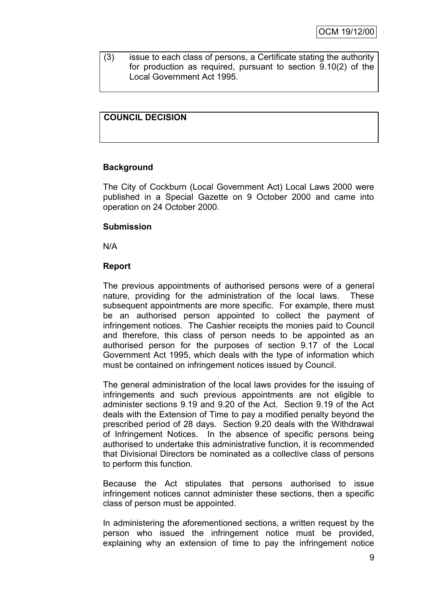(3) issue to each class of persons, a Certificate stating the authority for production as required, pursuant to section 9.10(2) of the Local Government Act 1995.

# **COUNCIL DECISION**

### **Background**

The City of Cockburn (Local Government Act) Local Laws 2000 were published in a Special Gazette on 9 October 2000 and came into operation on 24 October 2000.

### **Submission**

N/A

### **Report**

The previous appointments of authorised persons were of a general nature, providing for the administration of the local laws. These subsequent appointments are more specific. For example, there must be an authorised person appointed to collect the payment of infringement notices. The Cashier receipts the monies paid to Council and therefore, this class of person needs to be appointed as an authorised person for the purposes of section 9.17 of the Local Government Act 1995, which deals with the type of information which must be contained on infringement notices issued by Council.

The general administration of the local laws provides for the issuing of infringements and such previous appointments are not eligible to administer sections 9.19 and 9.20 of the Act. Section 9.19 of the Act deals with the Extension of Time to pay a modified penalty beyond the prescribed period of 28 days. Section 9.20 deals with the Withdrawal of Infringement Notices. In the absence of specific persons being authorised to undertake this administrative function, it is recommended that Divisional Directors be nominated as a collective class of persons to perform this function.

Because the Act stipulates that persons authorised to issue infringement notices cannot administer these sections, then a specific class of person must be appointed.

In administering the aforementioned sections, a written request by the person who issued the infringement notice must be provided, explaining why an extension of time to pay the infringement notice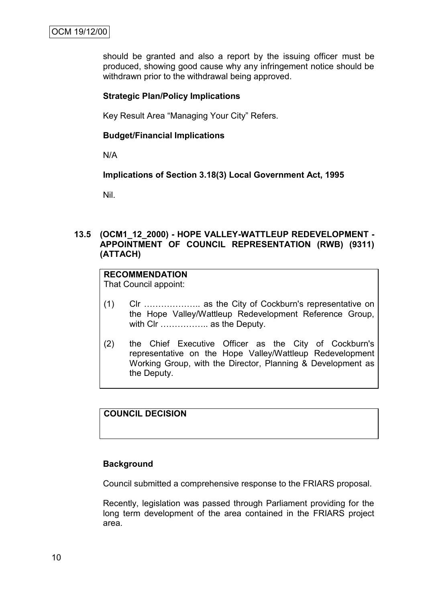should be granted and also a report by the issuing officer must be produced, showing good cause why any infringement notice should be withdrawn prior to the withdrawal being approved.

### **Strategic Plan/Policy Implications**

Key Result Area "Managing Your City" Refers.

#### **Budget/Financial Implications**

N/A

### **Implications of Section 3.18(3) Local Government Act, 1995**

Nil.

### **13.5 (OCM1\_12\_2000) - HOPE VALLEY-WATTLEUP REDEVELOPMENT - APPOINTMENT OF COUNCIL REPRESENTATION (RWB) (9311) (ATTACH)**

#### **RECOMMENDATION** That Council appoint:

- (1) Clr ……………….. as the City of Cockburn's representative on the Hope Valley/Wattleup Redevelopment Reference Group, with CIr .................. as the Deputy.
- (2) the Chief Executive Officer as the City of Cockburn's representative on the Hope Valley/Wattleup Redevelopment Working Group, with the Director, Planning & Development as the Deputy.

# **COUNCIL DECISION**

#### **Background**

Council submitted a comprehensive response to the FRIARS proposal.

Recently, legislation was passed through Parliament providing for the long term development of the area contained in the FRIARS project area.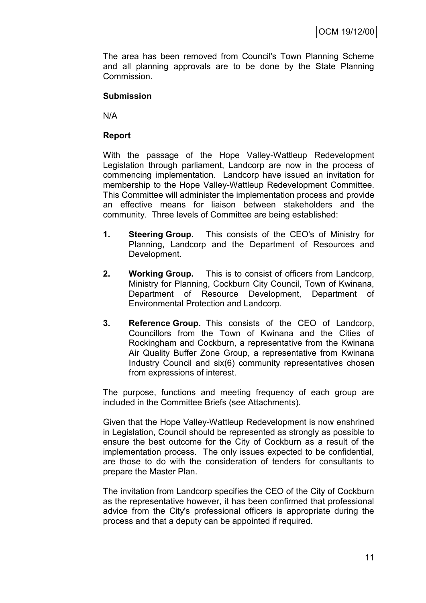The area has been removed from Council's Town Planning Scheme and all planning approvals are to be done by the State Planning Commission.

### **Submission**

N/A

### **Report**

With the passage of the Hope Valley-Wattleup Redevelopment Legislation through parliament, Landcorp are now in the process of commencing implementation. Landcorp have issued an invitation for membership to the Hope Valley-Wattleup Redevelopment Committee. This Committee will administer the implementation process and provide an effective means for liaison between stakeholders and the community. Three levels of Committee are being established:

- **1. Steering Group.** This consists of the CEO's of Ministry for Planning, Landcorp and the Department of Resources and Development.
- **2. Working Group.** This is to consist of officers from Landcorp, Ministry for Planning, Cockburn City Council, Town of Kwinana, Department of Resource Development, Department of Environmental Protection and Landcorp.
- **3. Reference Group.** This consists of the CEO of Landcorp, Councillors from the Town of Kwinana and the Cities of Rockingham and Cockburn, a representative from the Kwinana Air Quality Buffer Zone Group, a representative from Kwinana Industry Council and six(6) community representatives chosen from expressions of interest.

The purpose, functions and meeting frequency of each group are included in the Committee Briefs (see Attachments).

Given that the Hope Valley-Wattleup Redevelopment is now enshrined in Legislation, Council should be represented as strongly as possible to ensure the best outcome for the City of Cockburn as a result of the implementation process. The only issues expected to be confidential, are those to do with the consideration of tenders for consultants to prepare the Master Plan.

The invitation from Landcorp specifies the CEO of the City of Cockburn as the representative however, it has been confirmed that professional advice from the City's professional officers is appropriate during the process and that a deputy can be appointed if required.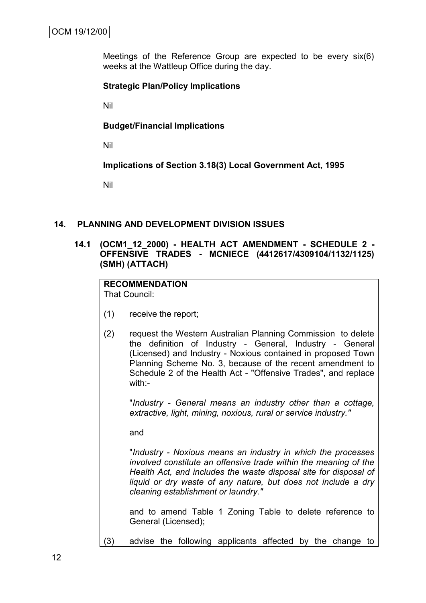Meetings of the Reference Group are expected to be every six(6) weeks at the Wattleup Office during the day.

### **Strategic Plan/Policy Implications**

Nil

### **Budget/Financial Implications**

Nil

**Implications of Section 3.18(3) Local Government Act, 1995**

Nil

### **14. PLANNING AND DEVELOPMENT DIVISION ISSUES**

### **14.1 (OCM1\_12\_2000) - HEALTH ACT AMENDMENT - SCHEDULE 2 - OFFENSIVE TRADES - MCNIECE (4412617/4309104/1132/1125) (SMH) (ATTACH)**

# **RECOMMENDATION**

That Council:

- (1) receive the report;
- (2) request the Western Australian Planning Commission to delete the definition of Industry - General, Industry - General (Licensed) and Industry - Noxious contained in proposed Town Planning Scheme No. 3, because of the recent amendment to Schedule 2 of the Health Act - "Offensive Trades", and replace with -

"*Industry - General means an industry other than a cottage, extractive, light, mining, noxious, rural or service industry."*

and

"*Industry - Noxious means an industry in which the processes involved constitute an offensive trade within the meaning of the Health Act, and includes the waste disposal site for disposal of liquid or dry waste of any nature, but does not include a dry cleaning establishment or laundry."*

and to amend Table 1 Zoning Table to delete reference to General (Licensed);

(3) advise the following applicants affected by the change to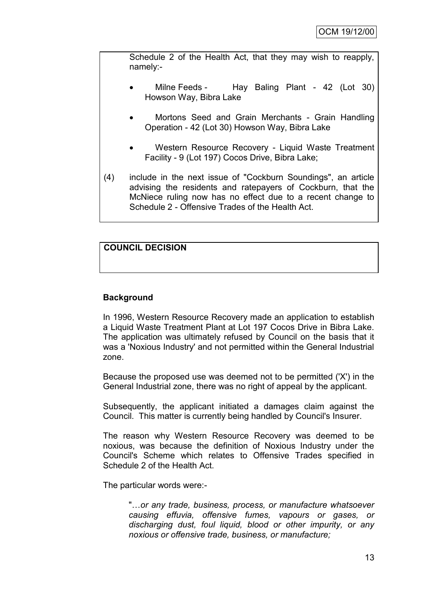Schedule 2 of the Health Act, that they may wish to reapply, namely:-

- Milne Feeds Hay Baling Plant 42 (Lot 30) Howson Way, Bibra Lake
- Mortons Seed and Grain Merchants Grain Handling Operation - 42 (Lot 30) Howson Way, Bibra Lake
- Western Resource Recovery Liquid Waste Treatment Facility - 9 (Lot 197) Cocos Drive, Bibra Lake;
- (4) include in the next issue of "Cockburn Soundings", an article advising the residents and ratepayers of Cockburn, that the McNiece ruling now has no effect due to a recent change to Schedule 2 - Offensive Trades of the Health Act.

# **COUNCIL DECISION**

# **Background**

In 1996, Western Resource Recovery made an application to establish a Liquid Waste Treatment Plant at Lot 197 Cocos Drive in Bibra Lake. The application was ultimately refused by Council on the basis that it was a 'Noxious Industry' and not permitted within the General Industrial zone.

Because the proposed use was deemed not to be permitted ('X') in the General Industrial zone, there was no right of appeal by the applicant.

Subsequently, the applicant initiated a damages claim against the Council. This matter is currently being handled by Council's Insurer.

The reason why Western Resource Recovery was deemed to be noxious, was because the definition of Noxious Industry under the Council's Scheme which relates to Offensive Trades specified in Schedule 2 of the Health Act.

The particular words were:-

"…*or any trade, business, process, or manufacture whatsoever causing effuvia, offensive fumes, vapours or gases, or discharging dust, foul liquid, blood or other impurity, or any noxious or offensive trade, business, or manufacture;*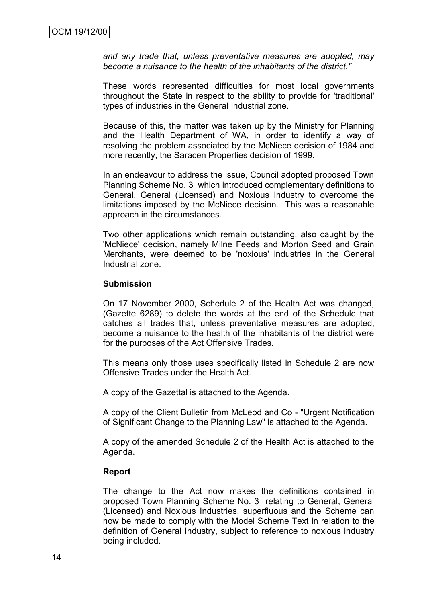*and any trade that, unless preventative measures are adopted, may become a nuisance to the health of the inhabitants of the district."*

These words represented difficulties for most local governments throughout the State in respect to the ability to provide for 'traditional' types of industries in the General Industrial zone.

Because of this, the matter was taken up by the Ministry for Planning and the Health Department of WA, in order to identify a way of resolving the problem associated by the McNiece decision of 1984 and more recently, the Saracen Properties decision of 1999.

In an endeavour to address the issue, Council adopted proposed Town Planning Scheme No. 3 which introduced complementary definitions to General, General (Licensed) and Noxious Industry to overcome the limitations imposed by the McNiece decision. This was a reasonable approach in the circumstances.

Two other applications which remain outstanding, also caught by the 'McNiece' decision, namely Milne Feeds and Morton Seed and Grain Merchants, were deemed to be 'noxious' industries in the General Industrial zone.

#### **Submission**

On 17 November 2000, Schedule 2 of the Health Act was changed, (Gazette 6289) to delete the words at the end of the Schedule that catches all trades that, unless preventative measures are adopted, become a nuisance to the health of the inhabitants of the district were for the purposes of the Act Offensive Trades.

This means only those uses specifically listed in Schedule 2 are now Offensive Trades under the Health Act.

A copy of the Gazettal is attached to the Agenda.

A copy of the Client Bulletin from McLeod and Co - "Urgent Notification of Significant Change to the Planning Law" is attached to the Agenda.

A copy of the amended Schedule 2 of the Health Act is attached to the Agenda.

#### **Report**

The change to the Act now makes the definitions contained in proposed Town Planning Scheme No. 3 relating to General, General (Licensed) and Noxious Industries, superfluous and the Scheme can now be made to comply with the Model Scheme Text in relation to the definition of General Industry, subject to reference to noxious industry being included.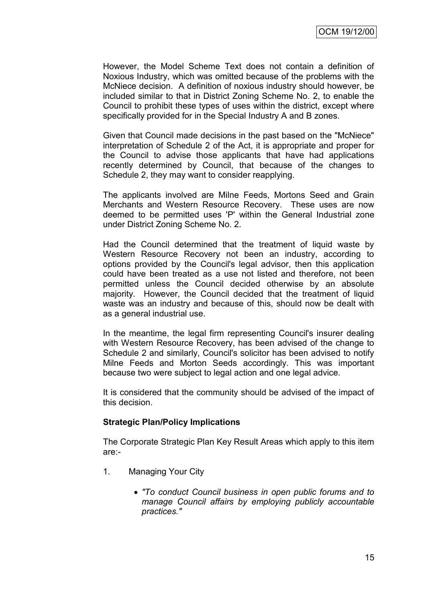However, the Model Scheme Text does not contain a definition of Noxious Industry, which was omitted because of the problems with the McNiece decision. A definition of noxious industry should however, be included similar to that in District Zoning Scheme No. 2, to enable the Council to prohibit these types of uses within the district, except where specifically provided for in the Special Industry A and B zones.

Given that Council made decisions in the past based on the "McNiece" interpretation of Schedule 2 of the Act, it is appropriate and proper for the Council to advise those applicants that have had applications recently determined by Council, that because of the changes to Schedule 2, they may want to consider reapplying.

The applicants involved are Milne Feeds, Mortons Seed and Grain Merchants and Western Resource Recovery. These uses are now deemed to be permitted uses 'P' within the General Industrial zone under District Zoning Scheme No. 2.

Had the Council determined that the treatment of liquid waste by Western Resource Recovery not been an industry, according to options provided by the Council's legal advisor, then this application could have been treated as a use not listed and therefore, not been permitted unless the Council decided otherwise by an absolute majority. However, the Council decided that the treatment of liquid waste was an industry and because of this, should now be dealt with as a general industrial use.

In the meantime, the legal firm representing Council's insurer dealing with Western Resource Recovery, has been advised of the change to Schedule 2 and similarly, Council's solicitor has been advised to notify Milne Feeds and Morton Seeds accordingly. This was important because two were subject to legal action and one legal advice.

It is considered that the community should be advised of the impact of this decision.

### **Strategic Plan/Policy Implications**

The Corporate Strategic Plan Key Result Areas which apply to this item are:-

- 1. Managing Your City
	- *"To conduct Council business in open public forums and to manage Council affairs by employing publicly accountable practices."*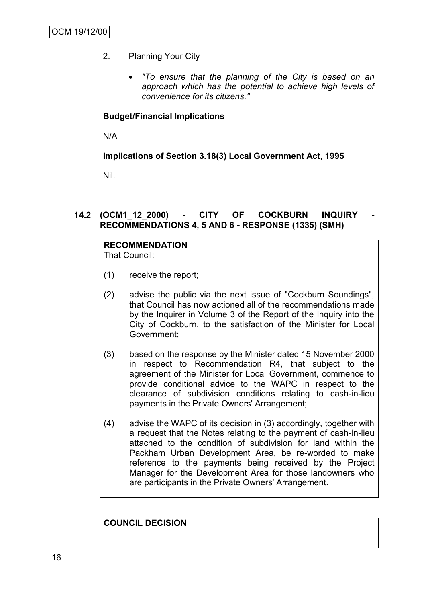- 2. Planning Your City
	- *"To ensure that the planning of the City is based on an approach which has the potential to achieve high levels of convenience for its citizens."*

### **Budget/Financial Implications**

N/A

### **Implications of Section 3.18(3) Local Government Act, 1995**

Nil.

# **14.2 (OCM1\_12\_2000) - CITY OF COCKBURN INQUIRY - RECOMMENDATIONS 4, 5 AND 6 - RESPONSE (1335) (SMH)**

#### **RECOMMENDATION** That Council:

- (1) receive the report;
- (2) advise the public via the next issue of "Cockburn Soundings", that Council has now actioned all of the recommendations made by the Inquirer in Volume 3 of the Report of the Inquiry into the City of Cockburn, to the satisfaction of the Minister for Local Government;
- (3) based on the response by the Minister dated 15 November 2000 in respect to Recommendation R4, that subject to the agreement of the Minister for Local Government, commence to provide conditional advice to the WAPC in respect to the clearance of subdivision conditions relating to cash-in-lieu payments in the Private Owners' Arrangement;
- (4) advise the WAPC of its decision in (3) accordingly, together with a request that the Notes relating to the payment of cash-in-lieu attached to the condition of subdivision for land within the Packham Urban Development Area, be re-worded to make reference to the payments being received by the Project Manager for the Development Area for those landowners who are participants in the Private Owners' Arrangement.

**COUNCIL DECISION**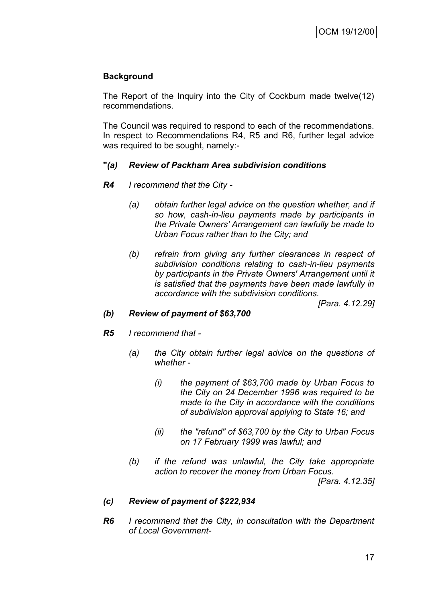# **Background**

The Report of the Inquiry into the City of Cockburn made twelve(12) recommendations.

The Council was required to respond to each of the recommendations. In respect to Recommendations R4, R5 and R6, further legal advice was required to be sought, namely:-

### **"***(a) Review of Packham Area subdivision conditions*

- *R4 I recommend that the City -*
	- *(a) obtain further legal advice on the question whether, and if so how, cash-in-lieu payments made by participants in the Private Owners' Arrangement can lawfully be made to Urban Focus rather than to the City; and*
	- *(b) refrain from giving any further clearances in respect of subdivision conditions relating to cash-in-lieu payments by participants in the Private Owners' Arrangement until it is satisfied that the payments have been made lawfully in accordance with the subdivision conditions.*

*[Para. 4.12.29]*

### *(b) Review of payment of \$63,700*

- *R5 I recommend that -*
	- *(a) the City obtain further legal advice on the questions of whether -*
		- *(i) the payment of \$63,700 made by Urban Focus to the City on 24 December 1996 was required to be made to the City in accordance with the conditions of subdivision approval applying to State 16; and*
		- *(ii) the "refund" of \$63,700 by the City to Urban Focus on 17 February 1999 was lawful; and*
	- *(b) if the refund was unlawful, the City take appropriate action to recover the money from Urban Focus.*

*[Para. 4.12.35]*

# *(c) Review of payment of \$222,934*

*R6 I recommend that the City, in consultation with the Department of Local Government-*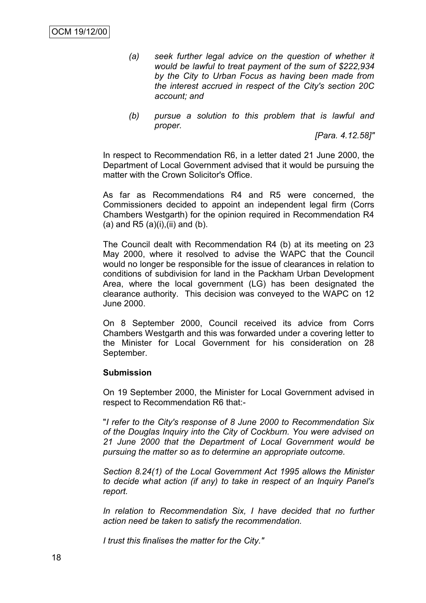- *(a) seek further legal advice on the question of whether it would be lawful to treat payment of the sum of \$222,934 by the City to Urban Focus as having been made from the interest accrued in respect of the City's section 20C account; and*
- *(b) pursue a solution to this problem that is lawful and proper.*

*[Para. 4.12.58]"*

In respect to Recommendation R6, in a letter dated 21 June 2000, the Department of Local Government advised that it would be pursuing the matter with the Crown Solicitor's Office.

As far as Recommendations R4 and R5 were concerned, the Commissioners decided to appoint an independent legal firm (Corrs Chambers Westgarth) for the opinion required in Recommendation R4 (a) and R5  $(a)(i)$ ,  $(ii)$  and  $(b)$ .

The Council dealt with Recommendation R4 (b) at its meeting on 23 May 2000, where it resolved to advise the WAPC that the Council would no longer be responsible for the issue of clearances in relation to conditions of subdivision for land in the Packham Urban Development Area, where the local government (LG) has been designated the clearance authority. This decision was conveyed to the WAPC on 12 June 2000.

On 8 September 2000, Council received its advice from Corrs Chambers Westgarth and this was forwarded under a covering letter to the Minister for Local Government for his consideration on 28 September.

#### **Submission**

On 19 September 2000, the Minister for Local Government advised in respect to Recommendation R6 that:-

"*I refer to the City's response of 8 June 2000 to Recommendation Six of the Douglas Inquiry into the City of Cockburn. You were advised on 21 June 2000 that the Department of Local Government would be pursuing the matter so as to determine an appropriate outcome.*

*Section 8.24(1) of the Local Government Act 1995 allows the Minister to decide what action (if any) to take in respect of an Inquiry Panel's report.*

*In relation to Recommendation Six, I have decided that no further action need be taken to satisfy the recommendation.*

*I trust this finalises the matter for the City."*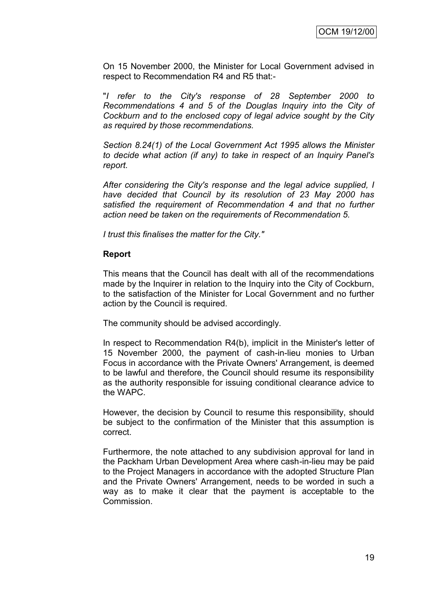On 15 November 2000, the Minister for Local Government advised in respect to Recommendation R4 and R5 that:-

"*I refer to the City's response of 28 September 2000 to Recommendations 4 and 5 of the Douglas Inquiry into the City of Cockburn and to the enclosed copy of legal advice sought by the City as required by those recommendations.*

*Section 8.24(1) of the Local Government Act 1995 allows the Minister to decide what action (if any) to take in respect of an Inquiry Panel's report.*

*After considering the City's response and the legal advice supplied, I have decided that Council by its resolution of 23 May 2000 has satisfied the requirement of Recommendation 4 and that no further action need be taken on the requirements of Recommendation 5.*

*I trust this finalises the matter for the City."*

#### **Report**

This means that the Council has dealt with all of the recommendations made by the Inquirer in relation to the Inquiry into the City of Cockburn, to the satisfaction of the Minister for Local Government and no further action by the Council is required.

The community should be advised accordingly.

In respect to Recommendation R4(b), implicit in the Minister's letter of 15 November 2000, the payment of cash-in-lieu monies to Urban Focus in accordance with the Private Owners' Arrangement, is deemed to be lawful and therefore, the Council should resume its responsibility as the authority responsible for issuing conditional clearance advice to the WAPC.

However, the decision by Council to resume this responsibility, should be subject to the confirmation of the Minister that this assumption is correct.

Furthermore, the note attached to any subdivision approval for land in the Packham Urban Development Area where cash-in-lieu may be paid to the Project Managers in accordance with the adopted Structure Plan and the Private Owners' Arrangement, needs to be worded in such a way as to make it clear that the payment is acceptable to the Commission.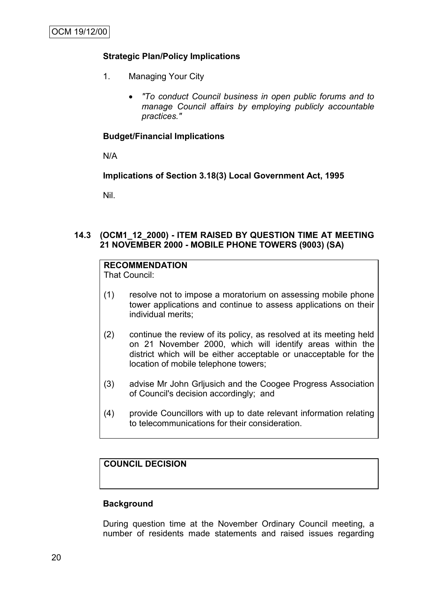# **Strategic Plan/Policy Implications**

- 1. Managing Your City
	- *"To conduct Council business in open public forums and to manage Council affairs by employing publicly accountable practices."*

### **Budget/Financial Implications**

N/A

### **Implications of Section 3.18(3) Local Government Act, 1995**

Nil.

### **14.3 (OCM1\_12\_2000) - ITEM RAISED BY QUESTION TIME AT MEETING 21 NOVEMBER 2000 - MOBILE PHONE TOWERS (9003) (SA)**

# **RECOMMENDATION**

That Council:

- (1) resolve not to impose a moratorium on assessing mobile phone tower applications and continue to assess applications on their individual merits;
- (2) continue the review of its policy, as resolved at its meeting held on 21 November 2000, which will identify areas within the district which will be either acceptable or unacceptable for the location of mobile telephone towers;
- (3) advise Mr John Grljusich and the Coogee Progress Association of Council's decision accordingly; and
- (4) provide Councillors with up to date relevant information relating to telecommunications for their consideration.

### **COUNCIL DECISION**

### **Background**

During question time at the November Ordinary Council meeting, a number of residents made statements and raised issues regarding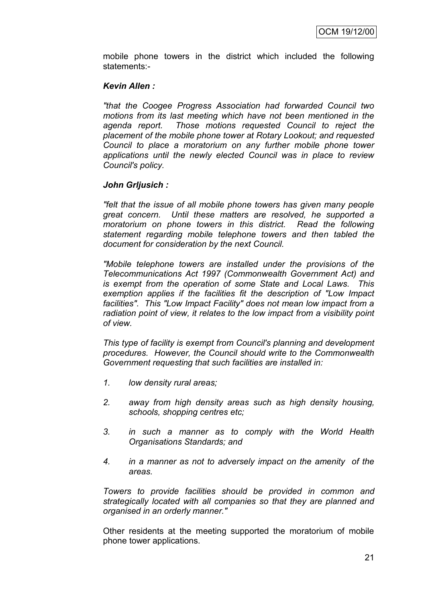mobile phone towers in the district which included the following statements:-

### *Kevin Allen :*

*"that the Coogee Progress Association had forwarded Council two motions from its last meeting which have not been mentioned in the agenda report. Those motions requested Council to reject the placement of the mobile phone tower at Rotary Lookout; and requested Council to place a moratorium on any further mobile phone tower applications until the newly elected Council was in place to review Council's policy.*

### *John Grljusich :*

*"felt that the issue of all mobile phone towers has given many people great concern. Until these matters are resolved, he supported a moratorium on phone towers in this district. Read the following statement regarding mobile telephone towers and then tabled the document for consideration by the next Council.*

*"Mobile telephone towers are installed under the provisions of the Telecommunications Act 1997 (Commonwealth Government Act) and is exempt from the operation of some State and Local Laws. This exemption applies if the facilities fit the description of "Low Impact facilities". This "Low Impact Facility" does not mean low impact from a radiation point of view, it relates to the low impact from a visibility point of view.*

*This type of facility is exempt from Council's planning and development procedures. However, the Council should write to the Commonwealth Government requesting that such facilities are installed in:*

- *1. low density rural areas;*
- *2. away from high density areas such as high density housing, schools, shopping centres etc;*
- *3. in such a manner as to comply with the World Health Organisations Standards; and*
- *4. in a manner as not to adversely impact on the amenity of the areas.*

*Towers to provide facilities should be provided in common and strategically located with all companies so that they are planned and organised in an orderly manner."* 

Other residents at the meeting supported the moratorium of mobile phone tower applications.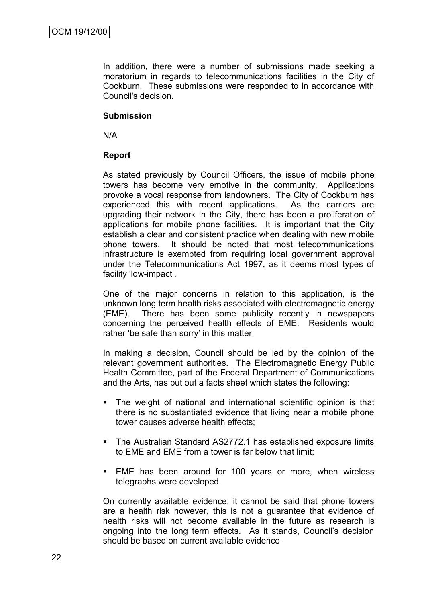In addition, there were a number of submissions made seeking a moratorium in regards to telecommunications facilities in the City of Cockburn. These submissions were responded to in accordance with Council's decision.

### **Submission**

N/A

### **Report**

As stated previously by Council Officers, the issue of mobile phone towers has become very emotive in the community. Applications provoke a vocal response from landowners. The City of Cockburn has experienced this with recent applications. As the carriers are upgrading their network in the City, there has been a proliferation of applications for mobile phone facilities. It is important that the City establish a clear and consistent practice when dealing with new mobile phone towers. It should be noted that most telecommunications infrastructure is exempted from requiring local government approval under the Telecommunications Act 1997, as it deems most types of facility 'low-impact'.

One of the major concerns in relation to this application, is the unknown long term health risks associated with electromagnetic energy (EME). There has been some publicity recently in newspapers concerning the perceived health effects of EME. Residents would rather 'be safe than sorry' in this matter.

In making a decision, Council should be led by the opinion of the relevant government authorities. The Electromagnetic Energy Public Health Committee, part of the Federal Department of Communications and the Arts, has put out a facts sheet which states the following:

- The weight of national and international scientific opinion is that there is no substantiated evidence that living near a mobile phone tower causes adverse health effects;
- The Australian Standard AS2772.1 has established exposure limits to EME and EME from a tower is far below that limit;
- EME has been around for 100 years or more, when wireless telegraphs were developed.

On currently available evidence, it cannot be said that phone towers are a health risk however, this is not a guarantee that evidence of health risks will not become available in the future as research is ongoing into the long term effects. As it stands, Council"s decision should be based on current available evidence.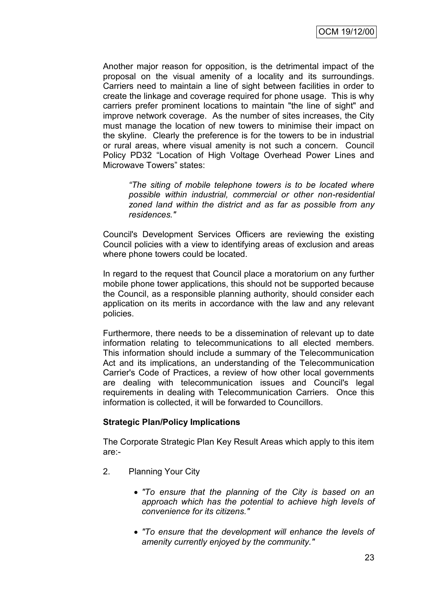Another major reason for opposition, is the detrimental impact of the proposal on the visual amenity of a locality and its surroundings. Carriers need to maintain a line of sight between facilities in order to create the linkage and coverage required for phone usage. This is why carriers prefer prominent locations to maintain "the line of sight" and improve network coverage. As the number of sites increases, the City must manage the location of new towers to minimise their impact on the skyline. Clearly the preference is for the towers to be in industrial or rural areas, where visual amenity is not such a concern. Council Policy PD32 "Location of High Voltage Overhead Power Lines and Microwave Towers" states:

*"The siting of mobile telephone towers is to be located where possible within industrial, commercial or other non-residential zoned land within the district and as far as possible from any residences."*

Council's Development Services Officers are reviewing the existing Council policies with a view to identifying areas of exclusion and areas where phone towers could be located.

In regard to the request that Council place a moratorium on any further mobile phone tower applications, this should not be supported because the Council, as a responsible planning authority, should consider each application on its merits in accordance with the law and any relevant policies.

Furthermore, there needs to be a dissemination of relevant up to date information relating to telecommunications to all elected members. This information should include a summary of the Telecommunication Act and its implications, an understanding of the Telecommunication Carrier's Code of Practices, a review of how other local governments are dealing with telecommunication issues and Council's legal requirements in dealing with Telecommunication Carriers. Once this information is collected, it will be forwarded to Councillors.

### **Strategic Plan/Policy Implications**

The Corporate Strategic Plan Key Result Areas which apply to this item are:-

- 2. Planning Your City
	- *"To ensure that the planning of the City is based on an approach which has the potential to achieve high levels of convenience for its citizens."*
	- *"To ensure that the development will enhance the levels of amenity currently enjoyed by the community."*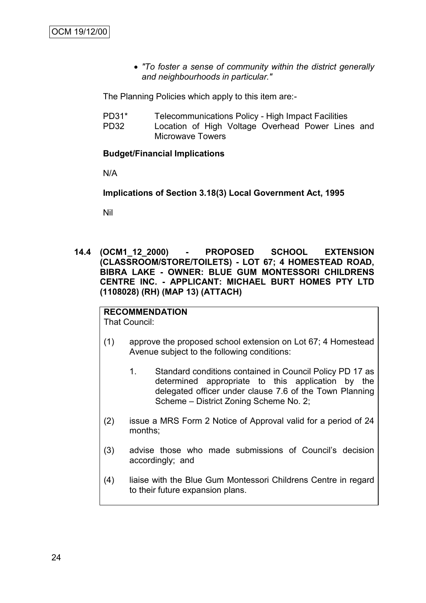*"To foster a sense of community within the district generally and neighbourhoods in particular."*

The Planning Policies which apply to this item are:-

- PD31\* Telecommunications Policy High Impact Facilities
- PD32 Location of High Voltage Overhead Power Lines and Microwave Towers

### **Budget/Financial Implications**

N/A

**Implications of Section 3.18(3) Local Government Act, 1995**

Nil

**14.4 (OCM1\_12\_2000) - PROPOSED SCHOOL EXTENSION (CLASSROOM/STORE/TOILETS) - LOT 67; 4 HOMESTEAD ROAD, BIBRA LAKE - OWNER: BLUE GUM MONTESSORI CHILDRENS CENTRE INC. - APPLICANT: MICHAEL BURT HOMES PTY LTD (1108028) (RH) (MAP 13) (ATTACH)**

# **RECOMMENDATION**

That Council:

- (1) approve the proposed school extension on Lot 67; 4 Homestead Avenue subject to the following conditions:
	- 1. Standard conditions contained in Council Policy PD 17 as determined appropriate to this application by the delegated officer under clause 7.6 of the Town Planning Scheme – District Zoning Scheme No. 2;
- (2) issue a MRS Form 2 Notice of Approval valid for a period of 24 months;
- (3) advise those who made submissions of Council"s decision accordingly; and
- (4) liaise with the Blue Gum Montessori Childrens Centre in regard to their future expansion plans.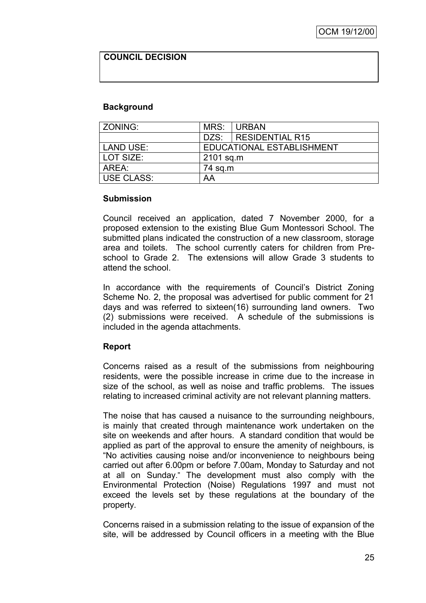### **COUNCIL DECISION**

### **Background**

| ZONING:           | MRS:                      | <b>URBAN</b>           |  |
|-------------------|---------------------------|------------------------|--|
|                   |                           | DZS:   RESIDENTIAL R15 |  |
| <b>LAND USE:</b>  | EDUCATIONAL ESTABLISHMENT |                        |  |
| LOT SIZE:         | 2101 sq.m                 |                        |  |
| AREA:             | 74 sq.m                   |                        |  |
| <b>USE CLASS:</b> | AA                        |                        |  |

#### **Submission**

Council received an application, dated 7 November 2000, for a proposed extension to the existing Blue Gum Montessori School. The submitted plans indicated the construction of a new classroom, storage area and toilets. The school currently caters for children from Preschool to Grade 2. The extensions will allow Grade 3 students to attend the school.

In accordance with the requirements of Council's District Zoning Scheme No. 2, the proposal was advertised for public comment for 21 days and was referred to sixteen(16) surrounding land owners. Two (2) submissions were received. A schedule of the submissions is included in the agenda attachments.

### **Report**

Concerns raised as a result of the submissions from neighbouring residents, were the possible increase in crime due to the increase in size of the school, as well as noise and traffic problems. The issues relating to increased criminal activity are not relevant planning matters.

The noise that has caused a nuisance to the surrounding neighbours, is mainly that created through maintenance work undertaken on the site on weekends and after hours. A standard condition that would be applied as part of the approval to ensure the amenity of neighbours, is "No activities causing noise and/or inconvenience to neighbours being carried out after 6.00pm or before 7.00am, Monday to Saturday and not at all on Sunday." The development must also comply with the Environmental Protection (Noise) Regulations 1997 and must not exceed the levels set by these regulations at the boundary of the property.

Concerns raised in a submission relating to the issue of expansion of the site, will be addressed by Council officers in a meeting with the Blue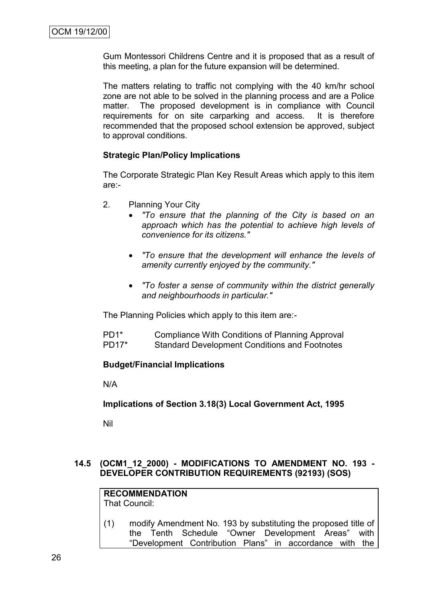Gum Montessori Childrens Centre and it is proposed that as a result of this meeting, a plan for the future expansion will be determined.

The matters relating to traffic not complying with the 40 km/hr school zone are not able to be solved in the planning process and are a Police matter. The proposed development is in compliance with Council requirements for on site carparking and access. It is therefore recommended that the proposed school extension be approved, subject to approval conditions.

### **Strategic Plan/Policy Implications**

The Corporate Strategic Plan Key Result Areas which apply to this item are:-

- 2. Planning Your City
	- *"To ensure that the planning of the City is based on an approach which has the potential to achieve high levels of convenience for its citizens."*
	- *"To ensure that the development will enhance the levels of amenity currently enjoyed by the community."*
	- *"To foster a sense of community within the district generally and neighbourhoods in particular."*

The Planning Policies which apply to this item are:-

PD1\* Compliance With Conditions of Planning Approval PD17\* Standard Development Conditions and Footnotes

### **Budget/Financial Implications**

N/A

**Implications of Section 3.18(3) Local Government Act, 1995**

Nil

### **14.5 (OCM1\_12\_2000) - MODIFICATIONS TO AMENDMENT NO. 193 - DEVELOPER CONTRIBUTION REQUIREMENTS (92193) (SOS)**

**RECOMMENDATION** That Council:

(1) modify Amendment No. 193 by substituting the proposed title of the Tenth Schedule "Owner Development Areas" with "Development Contribution Plans" in accordance with the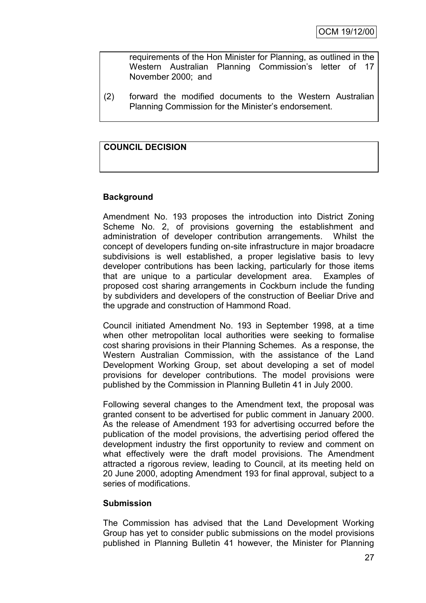requirements of the Hon Minister for Planning, as outlined in the Western Australian Planning Commission's letter of 17 November 2000; and

(2) forward the modified documents to the Western Australian Planning Commission for the Minister"s endorsement.

# **COUNCIL DECISION**

### **Background**

Amendment No. 193 proposes the introduction into District Zoning Scheme No. 2, of provisions governing the establishment and administration of developer contribution arrangements. Whilst the concept of developers funding on-site infrastructure in major broadacre subdivisions is well established, a proper legislative basis to levy developer contributions has been lacking, particularly for those items that are unique to a particular development area. Examples of proposed cost sharing arrangements in Cockburn include the funding by subdividers and developers of the construction of Beeliar Drive and the upgrade and construction of Hammond Road.

Council initiated Amendment No. 193 in September 1998, at a time when other metropolitan local authorities were seeking to formalise cost sharing provisions in their Planning Schemes. As a response, the Western Australian Commission, with the assistance of the Land Development Working Group, set about developing a set of model provisions for developer contributions. The model provisions were published by the Commission in Planning Bulletin 41 in July 2000.

Following several changes to the Amendment text, the proposal was granted consent to be advertised for public comment in January 2000. As the release of Amendment 193 for advertising occurred before the publication of the model provisions, the advertising period offered the development industry the first opportunity to review and comment on what effectively were the draft model provisions. The Amendment attracted a rigorous review, leading to Council, at its meeting held on 20 June 2000, adopting Amendment 193 for final approval, subject to a series of modifications.

#### **Submission**

The Commission has advised that the Land Development Working Group has yet to consider public submissions on the model provisions published in Planning Bulletin 41 however, the Minister for Planning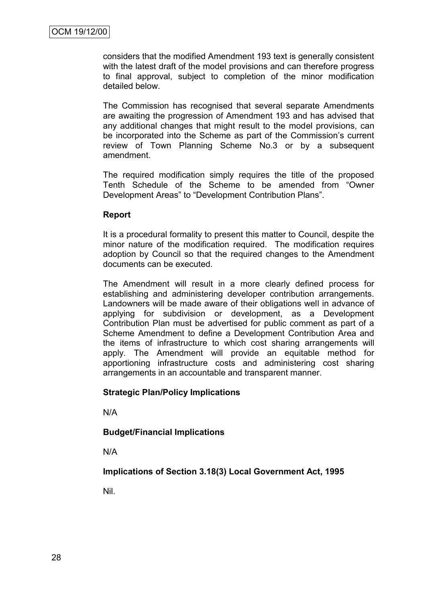considers that the modified Amendment 193 text is generally consistent with the latest draft of the model provisions and can therefore progress to final approval, subject to completion of the minor modification detailed below.

The Commission has recognised that several separate Amendments are awaiting the progression of Amendment 193 and has advised that any additional changes that might result to the model provisions, can be incorporated into the Scheme as part of the Commission's current review of Town Planning Scheme No.3 or by a subsequent amendment.

The required modification simply requires the title of the proposed Tenth Schedule of the Scheme to be amended from "Owner Development Areas" to "Development Contribution Plans".

### **Report**

It is a procedural formality to present this matter to Council, despite the minor nature of the modification required. The modification requires adoption by Council so that the required changes to the Amendment documents can be executed.

The Amendment will result in a more clearly defined process for establishing and administering developer contribution arrangements. Landowners will be made aware of their obligations well in advance of applying for subdivision or development, as a Development Contribution Plan must be advertised for public comment as part of a Scheme Amendment to define a Development Contribution Area and the items of infrastructure to which cost sharing arrangements will apply. The Amendment will provide an equitable method for apportioning infrastructure costs and administering cost sharing arrangements in an accountable and transparent manner.

### **Strategic Plan/Policy Implications**

N/A

### **Budget/Financial Implications**

N/A

### **Implications of Section 3.18(3) Local Government Act, 1995**

Nil.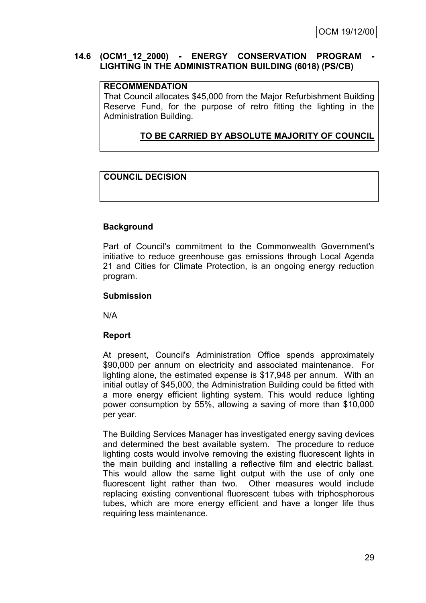### 14.6 (OCM1\_12\_2000) - **ENERGY CONSERVATION PROGRAM LIGHTING IN THE ADMINISTRATION BUILDING (6018) (PS/CB)**

### **RECOMMENDATION**

That Council allocates \$45,000 from the Major Refurbishment Building Reserve Fund, for the purpose of retro fitting the lighting in the Administration Building.

# **TO BE CARRIED BY ABSOLUTE MAJORITY OF COUNCIL**

# **COUNCIL DECISION**

# **Background**

Part of Council's commitment to the Commonwealth Government's initiative to reduce greenhouse gas emissions through Local Agenda 21 and Cities for Climate Protection, is an ongoing energy reduction program.

### **Submission**

N/A

# **Report**

At present, Council's Administration Office spends approximately \$90,000 per annum on electricity and associated maintenance. For lighting alone, the estimated expense is \$17,948 per annum. With an initial outlay of \$45,000, the Administration Building could be fitted with a more energy efficient lighting system. This would reduce lighting power consumption by 55%, allowing a saving of more than \$10,000 per year.

The Building Services Manager has investigated energy saving devices and determined the best available system. The procedure to reduce lighting costs would involve removing the existing fluorescent lights in the main building and installing a reflective film and electric ballast. This would allow the same light output with the use of only one fluorescent light rather than two. Other measures would include replacing existing conventional fluorescent tubes with triphosphorous tubes, which are more energy efficient and have a longer life thus requiring less maintenance.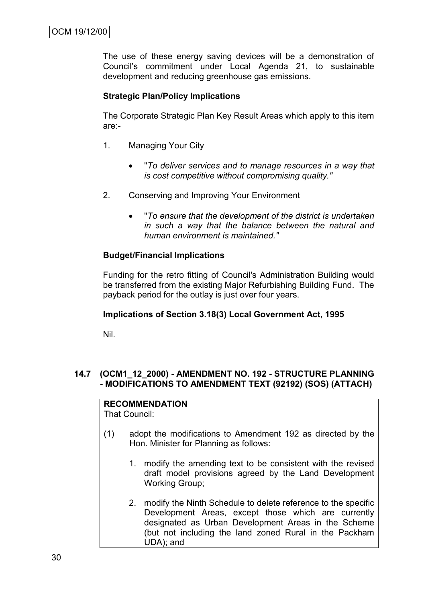The use of these energy saving devices will be a demonstration of Council"s commitment under Local Agenda 21, to sustainable development and reducing greenhouse gas emissions.

### **Strategic Plan/Policy Implications**

The Corporate Strategic Plan Key Result Areas which apply to this item are:-

- 1. Managing Your City
	- "*To deliver services and to manage resources in a way that is cost competitive without compromising quality."*
- 2. Conserving and Improving Your Environment
	- "*To ensure that the development of the district is undertaken in such a way that the balance between the natural and human environment is maintained."*

### **Budget/Financial Implications**

Funding for the retro fitting of Council's Administration Building would be transferred from the existing Major Refurbishing Building Fund. The payback period for the outlay is just over four years.

#### **Implications of Section 3.18(3) Local Government Act, 1995**

Nil.

### **14.7 (OCM1\_12\_2000) - AMENDMENT NO. 192 - STRUCTURE PLANNING - MODIFICATIONS TO AMENDMENT TEXT (92192) (SOS) (ATTACH)**

#### **RECOMMENDATION** That Council:

- (1) adopt the modifications to Amendment 192 as directed by the Hon. Minister for Planning as follows:
	- 1. modify the amending text to be consistent with the revised draft model provisions agreed by the Land Development Working Group;
	- 2. modify the Ninth Schedule to delete reference to the specific Development Areas, except those which are currently designated as Urban Development Areas in the Scheme (but not including the land zoned Rural in the Packham UDA); and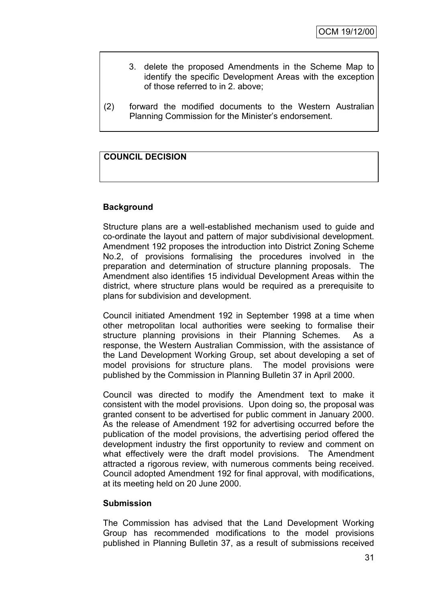- 3. delete the proposed Amendments in the Scheme Map to identify the specific Development Areas with the exception of those referred to in 2. above;
- (2) forward the modified documents to the Western Australian Planning Commission for the Minister"s endorsement.

### **COUNCIL DECISION**

### **Background**

Structure plans are a well-established mechanism used to guide and co-ordinate the layout and pattern of major subdivisional development. Amendment 192 proposes the introduction into District Zoning Scheme No.2, of provisions formalising the procedures involved in the preparation and determination of structure planning proposals. The Amendment also identifies 15 individual Development Areas within the district, where structure plans would be required as a prerequisite to plans for subdivision and development.

Council initiated Amendment 192 in September 1998 at a time when other metropolitan local authorities were seeking to formalise their structure planning provisions in their Planning Schemes. As a response, the Western Australian Commission, with the assistance of the Land Development Working Group, set about developing a set of model provisions for structure plans. The model provisions were published by the Commission in Planning Bulletin 37 in April 2000.

Council was directed to modify the Amendment text to make it consistent with the model provisions. Upon doing so, the proposal was granted consent to be advertised for public comment in January 2000. As the release of Amendment 192 for advertising occurred before the publication of the model provisions, the advertising period offered the development industry the first opportunity to review and comment on what effectively were the draft model provisions. The Amendment attracted a rigorous review, with numerous comments being received. Council adopted Amendment 192 for final approval, with modifications, at its meeting held on 20 June 2000.

#### **Submission**

The Commission has advised that the Land Development Working Group has recommended modifications to the model provisions published in Planning Bulletin 37, as a result of submissions received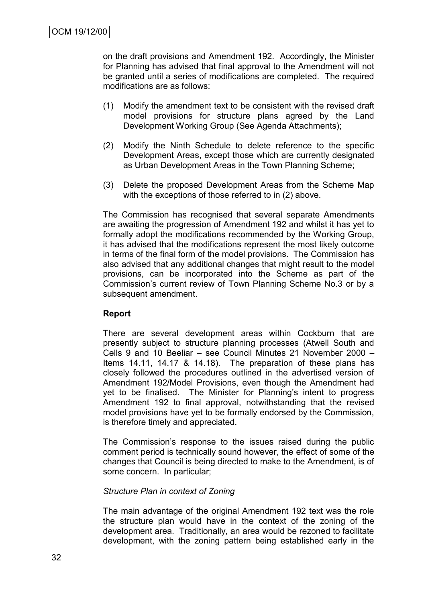on the draft provisions and Amendment 192. Accordingly, the Minister for Planning has advised that final approval to the Amendment will not be granted until a series of modifications are completed. The required modifications are as follows:

- (1) Modify the amendment text to be consistent with the revised draft model provisions for structure plans agreed by the Land Development Working Group (See Agenda Attachments);
- (2) Modify the Ninth Schedule to delete reference to the specific Development Areas, except those which are currently designated as Urban Development Areas in the Town Planning Scheme;
- (3) Delete the proposed Development Areas from the Scheme Map with the exceptions of those referred to in (2) above.

The Commission has recognised that several separate Amendments are awaiting the progression of Amendment 192 and whilst it has yet to formally adopt the modifications recommended by the Working Group, it has advised that the modifications represent the most likely outcome in terms of the final form of the model provisions. The Commission has also advised that any additional changes that might result to the model provisions, can be incorporated into the Scheme as part of the Commission's current review of Town Planning Scheme No.3 or by a subsequent amendment.

### **Report**

There are several development areas within Cockburn that are presently subject to structure planning processes (Atwell South and Cells 9 and 10 Beeliar – see Council Minutes 21 November 2000 – Items 14.11, 14.17 & 14.18). The preparation of these plans has closely followed the procedures outlined in the advertised version of Amendment 192/Model Provisions, even though the Amendment had yet to be finalised. The Minister for Planning's intent to progress Amendment 192 to final approval, notwithstanding that the revised model provisions have yet to be formally endorsed by the Commission, is therefore timely and appreciated.

The Commission's response to the issues raised during the public comment period is technically sound however, the effect of some of the changes that Council is being directed to make to the Amendment, is of some concern. In particular;

### *Structure Plan in context of Zoning*

The main advantage of the original Amendment 192 text was the role the structure plan would have in the context of the zoning of the development area. Traditionally, an area would be rezoned to facilitate development, with the zoning pattern being established early in the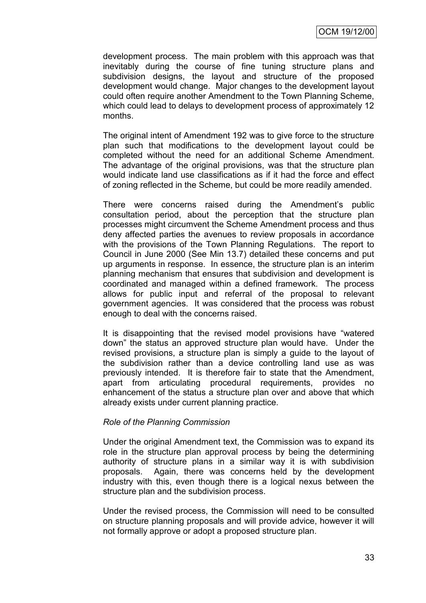development process. The main problem with this approach was that inevitably during the course of fine tuning structure plans and subdivision designs, the layout and structure of the proposed development would change. Major changes to the development layout could often require another Amendment to the Town Planning Scheme, which could lead to delays to development process of approximately 12 months.

The original intent of Amendment 192 was to give force to the structure plan such that modifications to the development layout could be completed without the need for an additional Scheme Amendment. The advantage of the original provisions, was that the structure plan would indicate land use classifications as if it had the force and effect of zoning reflected in the Scheme, but could be more readily amended.

There were concerns raised during the Amendment's public consultation period, about the perception that the structure plan processes might circumvent the Scheme Amendment process and thus deny affected parties the avenues to review proposals in accordance with the provisions of the Town Planning Regulations. The report to Council in June 2000 (See Min 13.7) detailed these concerns and put up arguments in response. In essence, the structure plan is an interim planning mechanism that ensures that subdivision and development is coordinated and managed within a defined framework. The process allows for public input and referral of the proposal to relevant government agencies. It was considered that the process was robust enough to deal with the concerns raised.

It is disappointing that the revised model provisions have "watered down" the status an approved structure plan would have. Under the revised provisions, a structure plan is simply a guide to the layout of the subdivision rather than a device controlling land use as was previously intended. It is therefore fair to state that the Amendment, apart from articulating procedural requirements, provides no enhancement of the status a structure plan over and above that which already exists under current planning practice.

#### *Role of the Planning Commission*

Under the original Amendment text, the Commission was to expand its role in the structure plan approval process by being the determining authority of structure plans in a similar way it is with subdivision proposals. Again, there was concerns held by the development industry with this, even though there is a logical nexus between the structure plan and the subdivision process.

Under the revised process, the Commission will need to be consulted on structure planning proposals and will provide advice, however it will not formally approve or adopt a proposed structure plan.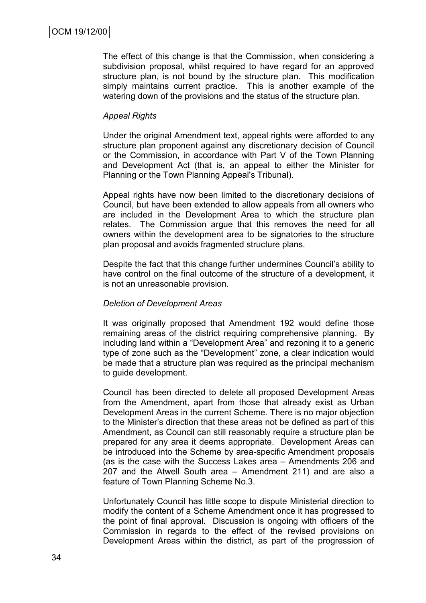The effect of this change is that the Commission, when considering a subdivision proposal, whilst required to have regard for an approved structure plan, is not bound by the structure plan. This modification simply maintains current practice. This is another example of the watering down of the provisions and the status of the structure plan.

### *Appeal Rights*

Under the original Amendment text, appeal rights were afforded to any structure plan proponent against any discretionary decision of Council or the Commission, in accordance with Part V of the Town Planning and Development Act (that is, an appeal to either the Minister for Planning or the Town Planning Appeal's Tribunal).

Appeal rights have now been limited to the discretionary decisions of Council, but have been extended to allow appeals from all owners who are included in the Development Area to which the structure plan relates. The Commission argue that this removes the need for all owners within the development area to be signatories to the structure plan proposal and avoids fragmented structure plans.

Despite the fact that this change further undermines Council"s ability to have control on the final outcome of the structure of a development, it is not an unreasonable provision.

#### *Deletion of Development Areas*

It was originally proposed that Amendment 192 would define those remaining areas of the district requiring comprehensive planning. By including land within a "Development Area" and rezoning it to a generic type of zone such as the "Development" zone, a clear indication would be made that a structure plan was required as the principal mechanism to guide development.

Council has been directed to delete all proposed Development Areas from the Amendment, apart from those that already exist as Urban Development Areas in the current Scheme. There is no major objection to the Minister"s direction that these areas not be defined as part of this Amendment, as Council can still reasonably require a structure plan be prepared for any area it deems appropriate. Development Areas can be introduced into the Scheme by area-specific Amendment proposals (as is the case with the Success Lakes area – Amendments 206 and 207 and the Atwell South area – Amendment 211) and are also a feature of Town Planning Scheme No.3.

Unfortunately Council has little scope to dispute Ministerial direction to modify the content of a Scheme Amendment once it has progressed to the point of final approval. Discussion is ongoing with officers of the Commission in regards to the effect of the revised provisions on Development Areas within the district, as part of the progression of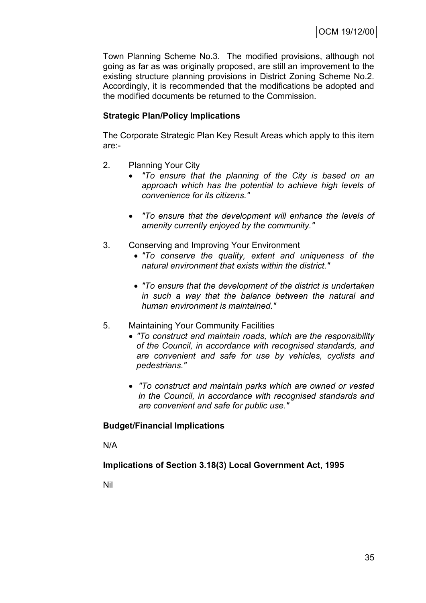Town Planning Scheme No.3. The modified provisions, although not going as far as was originally proposed, are still an improvement to the existing structure planning provisions in District Zoning Scheme No.2. Accordingly, it is recommended that the modifications be adopted and the modified documents be returned to the Commission.

# **Strategic Plan/Policy Implications**

The Corporate Strategic Plan Key Result Areas which apply to this item are:-

- 2. Planning Your City
	- *"To ensure that the planning of the City is based on an approach which has the potential to achieve high levels of convenience for its citizens."*
	- *"To ensure that the development will enhance the levels of amenity currently enjoyed by the community."*
- 3. Conserving and Improving Your Environment
	- *"To conserve the quality, extent and uniqueness of the natural environment that exists within the district."*
	- *"To ensure that the development of the district is undertaken in such a way that the balance between the natural and human environment is maintained."*
- 5. Maintaining Your Community Facilities
	- *"To construct and maintain roads, which are the responsibility of the Council, in accordance with recognised standards, and are convenient and safe for use by vehicles, cyclists and pedestrians."*
	- *"To construct and maintain parks which are owned or vested in the Council, in accordance with recognised standards and are convenient and safe for public use."*

# **Budget/Financial Implications**

N/A

**Implications of Section 3.18(3) Local Government Act, 1995**

Nil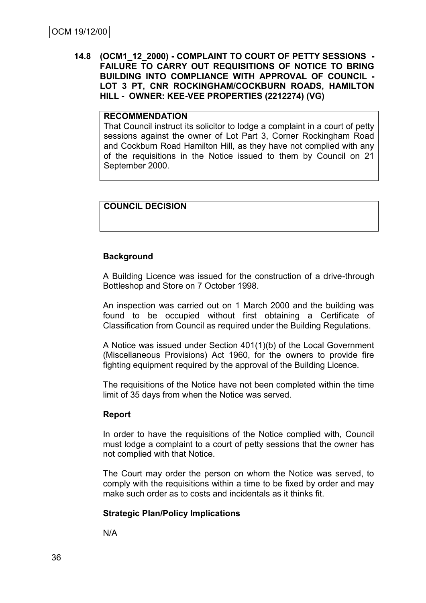### **14.8 (OCM1\_12\_2000) - COMPLAINT TO COURT OF PETTY SESSIONS - FAILURE TO CARRY OUT REQUISITIONS OF NOTICE TO BRING BUILDING INTO COMPLIANCE WITH APPROVAL OF COUNCIL - LOT 3 PT, CNR ROCKINGHAM/COCKBURN ROADS, HAMILTON HILL - OWNER: KEE-VEE PROPERTIES (2212274) (VG)**

# **RECOMMENDATION**

That Council instruct its solicitor to lodge a complaint in a court of petty sessions against the owner of Lot Part 3, Corner Rockingham Road and Cockburn Road Hamilton Hill, as they have not complied with any of the requisitions in the Notice issued to them by Council on 21 September 2000.

### **COUNCIL DECISION**

### **Background**

A Building Licence was issued for the construction of a drive-through Bottleshop and Store on 7 October 1998.

An inspection was carried out on 1 March 2000 and the building was found to be occupied without first obtaining a Certificate of Classification from Council as required under the Building Regulations.

A Notice was issued under Section 401(1)(b) of the Local Government (Miscellaneous Provisions) Act 1960, for the owners to provide fire fighting equipment required by the approval of the Building Licence.

The requisitions of the Notice have not been completed within the time limit of 35 days from when the Notice was served.

### **Report**

In order to have the requisitions of the Notice complied with, Council must lodge a complaint to a court of petty sessions that the owner has not complied with that Notice.

The Court may order the person on whom the Notice was served, to comply with the requisitions within a time to be fixed by order and may make such order as to costs and incidentals as it thinks fit.

### **Strategic Plan/Policy Implications**

N/A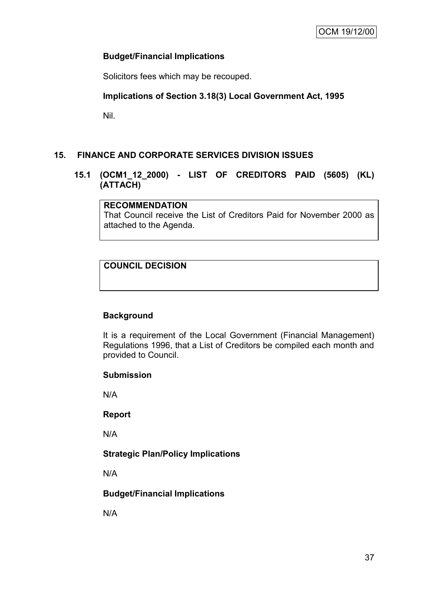### **Budget/Financial Implications**

Solicitors fees which may be recouped.

### **Implications of Section 3.18(3) Local Government Act, 1995**

Nil.

# **15. FINANCE AND CORPORATE SERVICES DIVISION ISSUES**

### **15.1 (OCM1\_12\_2000) - LIST OF CREDITORS PAID (5605) (KL) (ATTACH)**

### **RECOMMENDATION**

That Council receive the List of Creditors Paid for November 2000 as attached to the Agenda.

# **COUNCIL DECISION**

### **Background**

It is a requirement of the Local Government (Financial Management) Regulations 1996, that a List of Creditors be compiled each month and provided to Council.

#### **Submission**

N/A

#### **Report**

N/A

# **Strategic Plan/Policy Implications**

N/A

### **Budget/Financial Implications**

N/A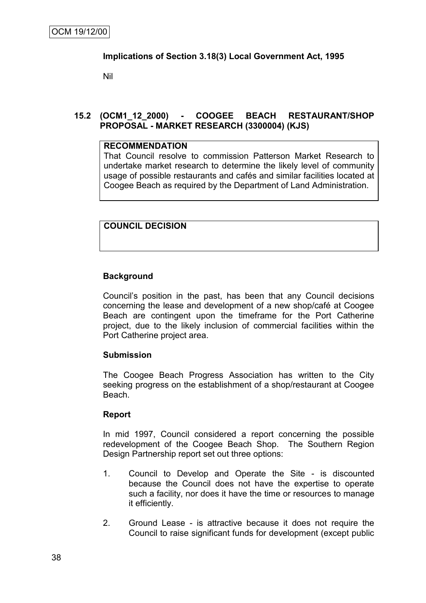### **Implications of Section 3.18(3) Local Government Act, 1995**

Nil

# **15.2 (OCM1\_12\_2000) - COOGEE BEACH RESTAURANT/SHOP PROPOSAL - MARKET RESEARCH (3300004) (KJS)**

### **RECOMMENDATION**

That Council resolve to commission Patterson Market Research to undertake market research to determine the likely level of community usage of possible restaurants and cafés and similar facilities located at Coogee Beach as required by the Department of Land Administration.

# **COUNCIL DECISION**

### **Background**

Council"s position in the past, has been that any Council decisions concerning the lease and development of a new shop/café at Coogee Beach are contingent upon the timeframe for the Port Catherine project, due to the likely inclusion of commercial facilities within the Port Catherine project area.

### **Submission**

The Coogee Beach Progress Association has written to the City seeking progress on the establishment of a shop/restaurant at Coogee Beach.

### **Report**

In mid 1997, Council considered a report concerning the possible redevelopment of the Coogee Beach Shop. The Southern Region Design Partnership report set out three options:

- 1. Council to Develop and Operate the Site is discounted because the Council does not have the expertise to operate such a facility, nor does it have the time or resources to manage it efficiently.
- 2. Ground Lease is attractive because it does not require the Council to raise significant funds for development (except public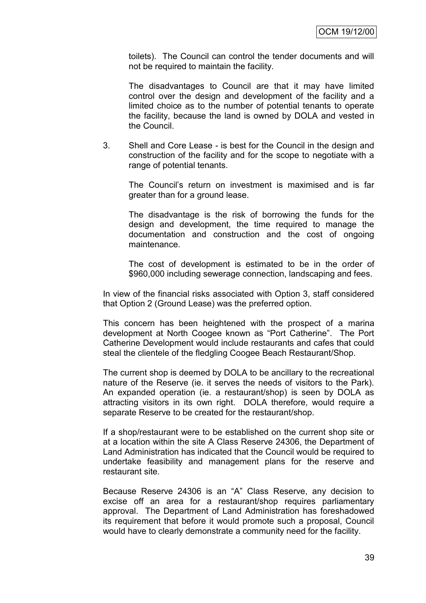toilets). The Council can control the tender documents and will not be required to maintain the facility.

The disadvantages to Council are that it may have limited control over the design and development of the facility and a limited choice as to the number of potential tenants to operate the facility, because the land is owned by DOLA and vested in the Council.

3. Shell and Core Lease - is best for the Council in the design and construction of the facility and for the scope to negotiate with a range of potential tenants.

The Council"s return on investment is maximised and is far greater than for a ground lease.

The disadvantage is the risk of borrowing the funds for the design and development, the time required to manage the documentation and construction and the cost of ongoing maintenance.

The cost of development is estimated to be in the order of \$960,000 including sewerage connection, landscaping and fees.

In view of the financial risks associated with Option 3, staff considered that Option 2 (Ground Lease) was the preferred option.

This concern has been heightened with the prospect of a marina development at North Coogee known as "Port Catherine". The Port Catherine Development would include restaurants and cafes that could steal the clientele of the fledgling Coogee Beach Restaurant/Shop.

The current shop is deemed by DOLA to be ancillary to the recreational nature of the Reserve (ie. it serves the needs of visitors to the Park). An expanded operation (ie. a restaurant/shop) is seen by DOLA as attracting visitors in its own right. DOLA therefore, would require a separate Reserve to be created for the restaurant/shop.

If a shop/restaurant were to be established on the current shop site or at a location within the site A Class Reserve 24306, the Department of Land Administration has indicated that the Council would be required to undertake feasibility and management plans for the reserve and restaurant site.

Because Reserve 24306 is an "A" Class Reserve, any decision to excise off an area for a restaurant/shop requires parliamentary approval. The Department of Land Administration has foreshadowed its requirement that before it would promote such a proposal, Council would have to clearly demonstrate a community need for the facility.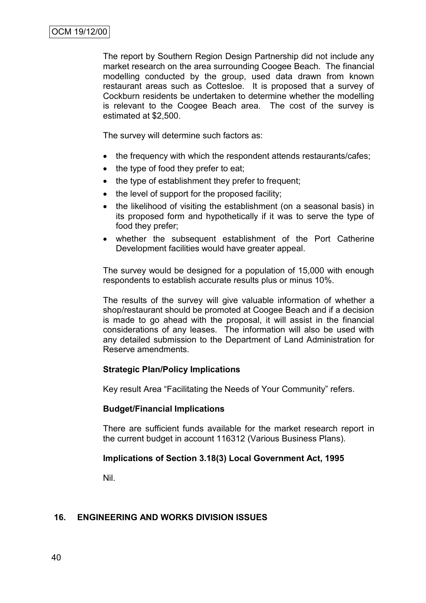The report by Southern Region Design Partnership did not include any market research on the area surrounding Coogee Beach. The financial modelling conducted by the group, used data drawn from known restaurant areas such as Cottesloe. It is proposed that a survey of Cockburn residents be undertaken to determine whether the modelling is relevant to the Coogee Beach area. The cost of the survey is estimated at \$2,500.

The survey will determine such factors as:

- the frequency with which the respondent attends restaurants/cafes;
- the type of food they prefer to eat;
- the type of establishment they prefer to frequent;
- the level of support for the proposed facility:
- the likelihood of visiting the establishment (on a seasonal basis) in its proposed form and hypothetically if it was to serve the type of food they prefer;
- whether the subsequent establishment of the Port Catherine Development facilities would have greater appeal.

The survey would be designed for a population of 15,000 with enough respondents to establish accurate results plus or minus 10%.

The results of the survey will give valuable information of whether a shop/restaurant should be promoted at Coogee Beach and if a decision is made to go ahead with the proposal, it will assist in the financial considerations of any leases. The information will also be used with any detailed submission to the Department of Land Administration for Reserve amendments.

### **Strategic Plan/Policy Implications**

Key result Area "Facilitating the Needs of Your Community" refers.

### **Budget/Financial Implications**

There are sufficient funds available for the market research report in the current budget in account 116312 (Various Business Plans).

### **Implications of Section 3.18(3) Local Government Act, 1995**

Nil.

### **16. ENGINEERING AND WORKS DIVISION ISSUES**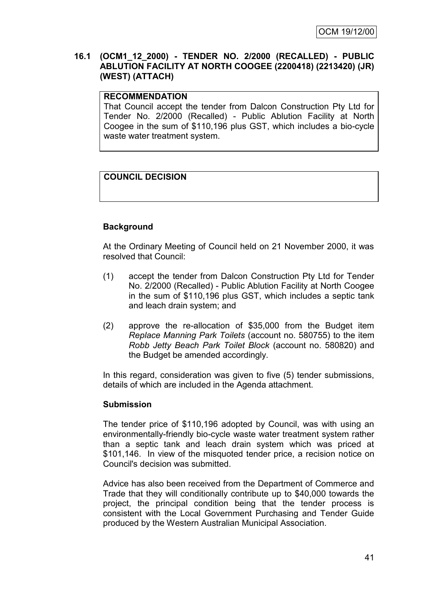### **16.1 (OCM1\_12\_2000) - TENDER NO. 2/2000 (RECALLED) - PUBLIC ABLUTION FACILITY AT NORTH COOGEE (2200418) (2213420) (JR) (WEST) (ATTACH)**

### **RECOMMENDATION**

That Council accept the tender from Dalcon Construction Pty Ltd for Tender No. 2/2000 (Recalled) - Public Ablution Facility at North Coogee in the sum of \$110,196 plus GST, which includes a bio-cycle waste water treatment system.

# **COUNCIL DECISION**

# **Background**

At the Ordinary Meeting of Council held on 21 November 2000, it was resolved that Council:

- (1) accept the tender from Dalcon Construction Pty Ltd for Tender No. 2/2000 (Recalled) - Public Ablution Facility at North Coogee in the sum of \$110,196 plus GST, which includes a septic tank and leach drain system; and
- (2) approve the re-allocation of \$35,000 from the Budget item *Replace Manning Park Toilets* (account no. 580755) to the item *Robb Jetty Beach Park Toilet Block* (account no. 580820) and the Budget be amended accordingly.

In this regard, consideration was given to five (5) tender submissions, details of which are included in the Agenda attachment.

#### **Submission**

The tender price of \$110,196 adopted by Council, was with using an environmentally-friendly bio-cycle waste water treatment system rather than a septic tank and leach drain system which was priced at \$101,146. In view of the misquoted tender price, a recision notice on Council's decision was submitted.

Advice has also been received from the Department of Commerce and Trade that they will conditionally contribute up to \$40,000 towards the project, the principal condition being that the tender process is consistent with the Local Government Purchasing and Tender Guide produced by the Western Australian Municipal Association.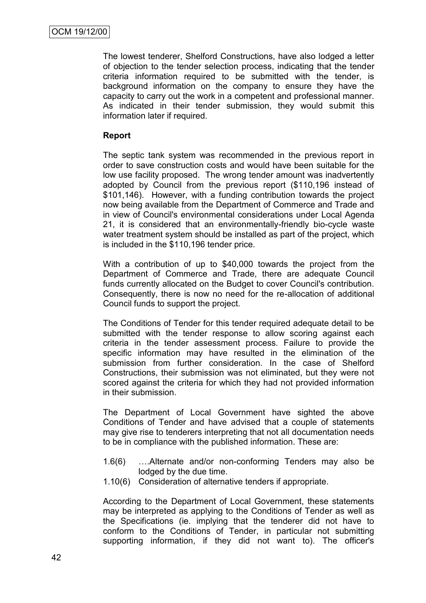The lowest tenderer, Shelford Constructions, have also lodged a letter of objection to the tender selection process, indicating that the tender criteria information required to be submitted with the tender, is background information on the company to ensure they have the capacity to carry out the work in a competent and professional manner. As indicated in their tender submission, they would submit this information later if required.

# **Report**

The septic tank system was recommended in the previous report in order to save construction costs and would have been suitable for the low use facility proposed. The wrong tender amount was inadvertently adopted by Council from the previous report (\$110,196 instead of \$101,146). However, with a funding contribution towards the project now being available from the Department of Commerce and Trade and in view of Council's environmental considerations under Local Agenda 21, it is considered that an environmentally-friendly bio-cycle waste water treatment system should be installed as part of the project, which is included in the \$110,196 tender price.

With a contribution of up to \$40,000 towards the project from the Department of Commerce and Trade, there are adequate Council funds currently allocated on the Budget to cover Council's contribution. Consequently, there is now no need for the re-allocation of additional Council funds to support the project.

The Conditions of Tender for this tender required adequate detail to be submitted with the tender response to allow scoring against each criteria in the tender assessment process. Failure to provide the specific information may have resulted in the elimination of the submission from further consideration. In the case of Shelford Constructions, their submission was not eliminated, but they were not scored against the criteria for which they had not provided information in their submission.

The Department of Local Government have sighted the above Conditions of Tender and have advised that a couple of statements may give rise to tenderers interpreting that not all documentation needs to be in compliance with the published information. These are:

- 1.6(6) ….Alternate and/or non-conforming Tenders may also be lodged by the due time.
- 1.10(6) Consideration of alternative tenders if appropriate.

According to the Department of Local Government, these statements may be interpreted as applying to the Conditions of Tender as well as the Specifications (ie. implying that the tenderer did not have to conform to the Conditions of Tender, in particular not submitting supporting information, if they did not want to). The officer's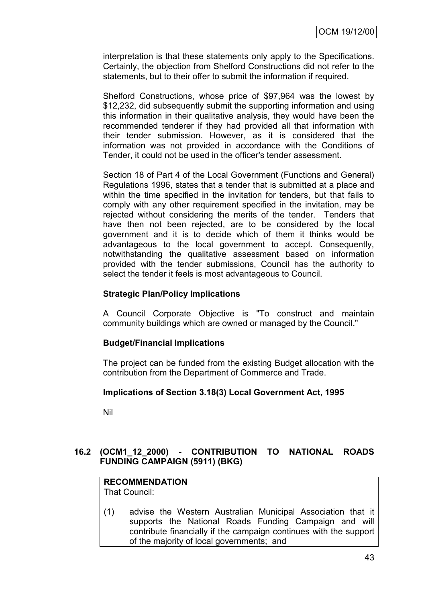interpretation is that these statements only apply to the Specifications. Certainly, the objection from Shelford Constructions did not refer to the statements, but to their offer to submit the information if required.

Shelford Constructions, whose price of \$97,964 was the lowest by \$12,232, did subsequently submit the supporting information and using this information in their qualitative analysis, they would have been the recommended tenderer if they had provided all that information with their tender submission. However, as it is considered that the information was not provided in accordance with the Conditions of Tender, it could not be used in the officer's tender assessment.

Section 18 of Part 4 of the Local Government (Functions and General) Regulations 1996, states that a tender that is submitted at a place and within the time specified in the invitation for tenders, but that fails to comply with any other requirement specified in the invitation, may be rejected without considering the merits of the tender. Tenders that have then not been rejected, are to be considered by the local government and it is to decide which of them it thinks would be advantageous to the local government to accept. Consequently, notwithstanding the qualitative assessment based on information provided with the tender submissions, Council has the authority to select the tender it feels is most advantageous to Council.

### **Strategic Plan/Policy Implications**

A Council Corporate Objective is "To construct and maintain community buildings which are owned or managed by the Council."

### **Budget/Financial Implications**

The project can be funded from the existing Budget allocation with the contribution from the Department of Commerce and Trade.

### **Implications of Section 3.18(3) Local Government Act, 1995**

Nil

# **16.2 (OCM1\_12\_2000) - CONTRIBUTION TO NATIONAL ROADS FUNDING CAMPAIGN (5911) (BKG)**

# **RECOMMENDATION**

That Council:

(1) advise the Western Australian Municipal Association that it supports the National Roads Funding Campaign and will contribute financially if the campaign continues with the support of the majority of local governments; and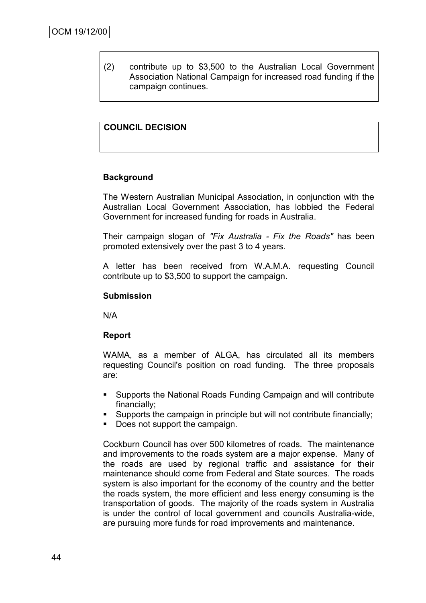(2) contribute up to \$3,500 to the Australian Local Government Association National Campaign for increased road funding if the campaign continues.

# **COUNCIL DECISION**

### **Background**

The Western Australian Municipal Association, in conjunction with the Australian Local Government Association, has lobbied the Federal Government for increased funding for roads in Australia.

Their campaign slogan of *"Fix Australia - Fix the Roads"* has been promoted extensively over the past 3 to 4 years.

A letter has been received from W.A.M.A. requesting Council contribute up to \$3,500 to support the campaign.

### **Submission**

N/A

### **Report**

WAMA, as a member of ALGA, has circulated all its members requesting Council's position on road funding. The three proposals are:

- Supports the National Roads Funding Campaign and will contribute financially;
- Supports the campaign in principle but will not contribute financially;
- Does not support the campaign.

Cockburn Council has over 500 kilometres of roads. The maintenance and improvements to the roads system are a major expense. Many of the roads are used by regional traffic and assistance for their maintenance should come from Federal and State sources. The roads system is also important for the economy of the country and the better the roads system, the more efficient and less energy consuming is the transportation of goods. The majority of the roads system in Australia is under the control of local government and councils Australia-wide, are pursuing more funds for road improvements and maintenance.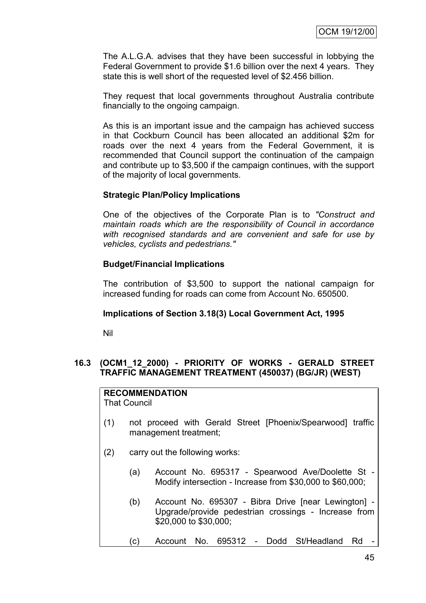The A.L.G.A. advises that they have been successful in lobbying the Federal Government to provide \$1.6 billion over the next 4 years. They state this is well short of the requested level of \$2.456 billion.

They request that local governments throughout Australia contribute financially to the ongoing campaign.

As this is an important issue and the campaign has achieved success in that Cockburn Council has been allocated an additional \$2m for roads over the next 4 years from the Federal Government, it is recommended that Council support the continuation of the campaign and contribute up to \$3,500 if the campaign continues, with the support of the majority of local governments.

### **Strategic Plan/Policy Implications**

One of the objectives of the Corporate Plan is to *"Construct and maintain roads which are the responsibility of Council in accordance with recognised standards and are convenient and safe for use by vehicles, cyclists and pedestrians."*

### **Budget/Financial Implications**

The contribution of \$3,500 to support the national campaign for increased funding for roads can come from Account No. 650500.

#### **Implications of Section 3.18(3) Local Government Act, 1995**

Nil

### **16.3 (OCM1\_12\_2000) - PRIORITY OF WORKS - GERALD STREET TRAFFIC MANAGEMENT TREATMENT (450037) (BG/JR) (WEST)**

#### **RECOMMENDATION** That Council

- (1) not proceed with Gerald Street [Phoenix/Spearwood] traffic management treatment;
- (2) carry out the following works:
	- (a) Account No. 695317 Spearwood Ave/Doolette St Modify intersection - Increase from \$30,000 to \$60,000;
	- (b) Account No. 695307 Bibra Drive [near Lewington] Upgrade/provide pedestrian crossings - Increase from \$20,000 to \$30,000;
	- (c) Account No. 695312 Dodd St/Headland Rd -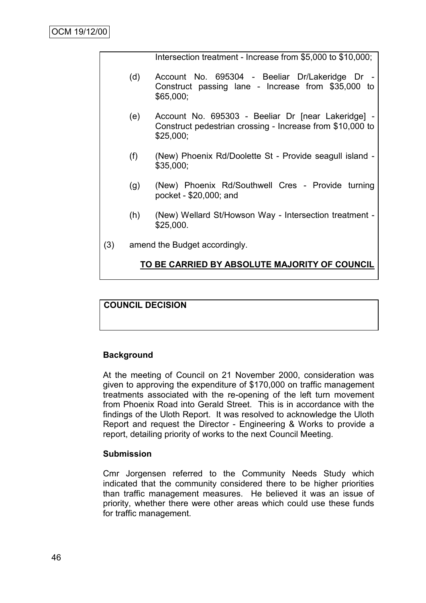Intersection treatment - Increase from \$5,000 to \$10,000;

- (d) Account No. 695304 Beeliar Dr/Lakeridge Dr Construct passing lane - Increase from \$35,000 to \$65,000;
- (e) Account No. 695303 Beeliar Dr [near Lakeridge] Construct pedestrian crossing - Increase from \$10,000 to \$25,000;
- (f) (New) Phoenix Rd/Doolette St Provide seagull island \$35,000;
- (g) (New) Phoenix Rd/Southwell Cres Provide turning pocket - \$20,000; and
- (h) (New) Wellard St/Howson Way Intersection treatment \$25,000.
- (3) amend the Budget accordingly.

### **TO BE CARRIED BY ABSOLUTE MAJORITY OF COUNCIL**

# **COUNCIL DECISION**

### **Background**

At the meeting of Council on 21 November 2000, consideration was given to approving the expenditure of \$170,000 on traffic management treatments associated with the re-opening of the left turn movement from Phoenix Road into Gerald Street. This is in accordance with the findings of the Uloth Report. It was resolved to acknowledge the Uloth Report and request the Director - Engineering & Works to provide a report, detailing priority of works to the next Council Meeting.

#### **Submission**

Cmr Jorgensen referred to the Community Needs Study which indicated that the community considered there to be higher priorities than traffic management measures. He believed it was an issue of priority, whether there were other areas which could use these funds for traffic management.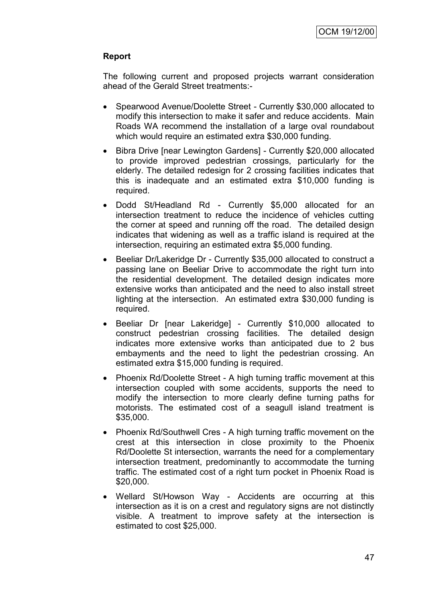# **Report**

The following current and proposed projects warrant consideration ahead of the Gerald Street treatments:-

- Spearwood Avenue/Doolette Street Currently \$30,000 allocated to modify this intersection to make it safer and reduce accidents. Main Roads WA recommend the installation of a large oval roundabout which would require an estimated extra \$30,000 funding.
- Bibra Drive [near Lewington Gardens] Currently \$20,000 allocated to provide improved pedestrian crossings, particularly for the elderly. The detailed redesign for 2 crossing facilities indicates that this is inadequate and an estimated extra \$10,000 funding is required.
- Dodd St/Headland Rd Currently \$5,000 allocated for an intersection treatment to reduce the incidence of vehicles cutting the corner at speed and running off the road. The detailed design indicates that widening as well as a traffic island is required at the intersection, requiring an estimated extra \$5,000 funding.
- Beeliar Dr/Lakeridge Dr Currently \$35,000 allocated to construct a passing lane on Beeliar Drive to accommodate the right turn into the residential development. The detailed design indicates more extensive works than anticipated and the need to also install street lighting at the intersection. An estimated extra \$30,000 funding is required.
- Beeliar Dr [near Lakeridge] Currently \$10,000 allocated to construct pedestrian crossing facilities. The detailed design indicates more extensive works than anticipated due to 2 bus embayments and the need to light the pedestrian crossing. An estimated extra \$15,000 funding is required.
- Phoenix Rd/Doolette Street A high turning traffic movement at this intersection coupled with some accidents, supports the need to modify the intersection to more clearly define turning paths for motorists. The estimated cost of a seagull island treatment is \$35,000.
- Phoenix Rd/Southwell Cres A high turning traffic movement on the crest at this intersection in close proximity to the Phoenix Rd/Doolette St intersection, warrants the need for a complementary intersection treatment, predominantly to accommodate the turning traffic. The estimated cost of a right turn pocket in Phoenix Road is \$20,000.
- Wellard St/Howson Way Accidents are occurring at this intersection as it is on a crest and regulatory signs are not distinctly visible. A treatment to improve safety at the intersection is estimated to cost \$25,000.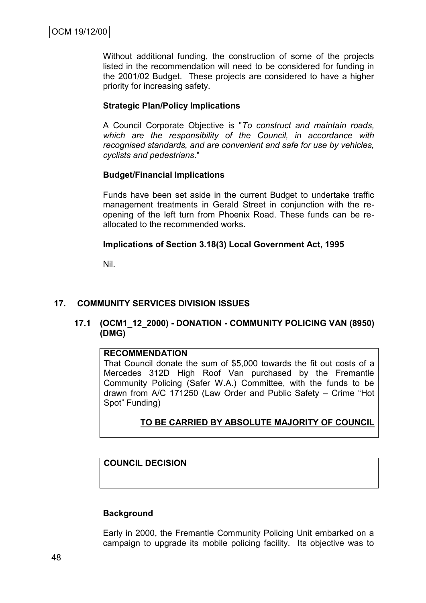Without additional funding, the construction of some of the projects listed in the recommendation will need to be considered for funding in the 2001/02 Budget. These projects are considered to have a higher priority for increasing safety.

### **Strategic Plan/Policy Implications**

A Council Corporate Objective is "*To construct and maintain roads, which are the responsibility of the Council, in accordance with recognised standards, and are convenient and safe for use by vehicles, cyclists and pedestrians*."

### **Budget/Financial Implications**

Funds have been set aside in the current Budget to undertake traffic management treatments in Gerald Street in conjunction with the reopening of the left turn from Phoenix Road. These funds can be reallocated to the recommended works.

### **Implications of Section 3.18(3) Local Government Act, 1995**

Nil.

# **17. COMMUNITY SERVICES DIVISION ISSUES**

### **17.1 (OCM1\_12\_2000) - DONATION - COMMUNITY POLICING VAN (8950) (DMG)**

### **RECOMMENDATION**

That Council donate the sum of \$5,000 towards the fit out costs of a Mercedes 312D High Roof Van purchased by the Fremantle Community Policing (Safer W.A.) Committee, with the funds to be drawn from A/C 171250 (Law Order and Public Safety – Crime "Hot Spot" Funding)

# **TO BE CARRIED BY ABSOLUTE MAJORITY OF COUNCIL**

# **COUNCIL DECISION**

### **Background**

Early in 2000, the Fremantle Community Policing Unit embarked on a campaign to upgrade its mobile policing facility. Its objective was to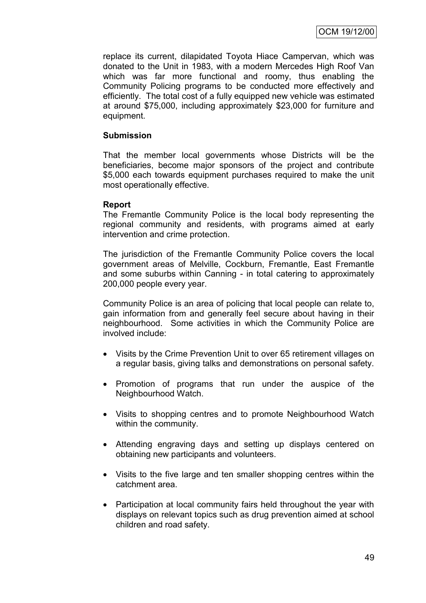replace its current, dilapidated Toyota Hiace Campervan, which was donated to the Unit in 1983, with a modern Mercedes High Roof Van which was far more functional and roomy, thus enabling the Community Policing programs to be conducted more effectively and efficiently. The total cost of a fully equipped new vehicle was estimated at around \$75,000, including approximately \$23,000 for furniture and equipment.

### **Submission**

That the member local governments whose Districts will be the beneficiaries, become major sponsors of the project and contribute \$5,000 each towards equipment purchases required to make the unit most operationally effective.

### **Report**

The Fremantle Community Police is the local body representing the regional community and residents, with programs aimed at early intervention and crime protection.

The jurisdiction of the Fremantle Community Police covers the local government areas of Melville, Cockburn, Fremantle, East Fremantle and some suburbs within Canning - in total catering to approximately 200,000 people every year.

Community Police is an area of policing that local people can relate to, gain information from and generally feel secure about having in their neighbourhood. Some activities in which the Community Police are involved include:

- Visits by the Crime Prevention Unit to over 65 retirement villages on a regular basis, giving talks and demonstrations on personal safety.
- Promotion of programs that run under the auspice of the Neighbourhood Watch.
- Visits to shopping centres and to promote Neighbourhood Watch within the community.
- Attending engraving days and setting up displays centered on obtaining new participants and volunteers.
- Visits to the five large and ten smaller shopping centres within the catchment area.
- Participation at local community fairs held throughout the year with displays on relevant topics such as drug prevention aimed at school children and road safety.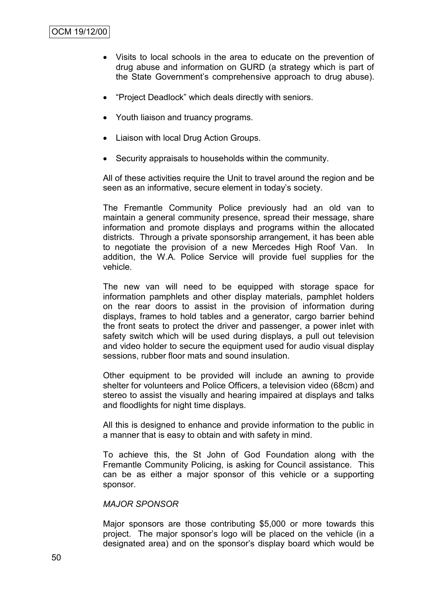- Visits to local schools in the area to educate on the prevention of drug abuse and information on GURD (a strategy which is part of the State Government"s comprehensive approach to drug abuse).
- "Project Deadlock" which deals directly with seniors.
- Youth liaison and truancy programs.
- Liaison with local Drug Action Groups.
- Security appraisals to households within the community.

All of these activities require the Unit to travel around the region and be seen as an informative, secure element in today's society.

The Fremantle Community Police previously had an old van to maintain a general community presence, spread their message, share information and promote displays and programs within the allocated districts. Through a private sponsorship arrangement, it has been able to negotiate the provision of a new Mercedes High Roof Van. In addition, the W.A. Police Service will provide fuel supplies for the vehicle.

The new van will need to be equipped with storage space for information pamphlets and other display materials, pamphlet holders on the rear doors to assist in the provision of information during displays, frames to hold tables and a generator, cargo barrier behind the front seats to protect the driver and passenger, a power inlet with safety switch which will be used during displays, a pull out television and video holder to secure the equipment used for audio visual display sessions, rubber floor mats and sound insulation.

Other equipment to be provided will include an awning to provide shelter for volunteers and Police Officers, a television video (68cm) and stereo to assist the visually and hearing impaired at displays and talks and floodlights for night time displays.

All this is designed to enhance and provide information to the public in a manner that is easy to obtain and with safety in mind.

To achieve this, the St John of God Foundation along with the Fremantle Community Policing, is asking for Council assistance. This can be as either a major sponsor of this vehicle or a supporting sponsor.

#### *MAJOR SPONSOR*

Major sponsors are those contributing \$5,000 or more towards this project. The major sponsor"s logo will be placed on the vehicle (in a designated area) and on the sponsor"s display board which would be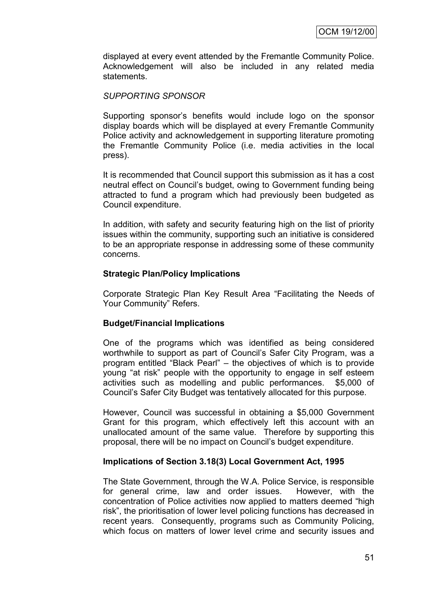displayed at every event attended by the Fremantle Community Police. Acknowledgement will also be included in any related media statements.

### *SUPPORTING SPONSOR*

Supporting sponsor"s benefits would include logo on the sponsor display boards which will be displayed at every Fremantle Community Police activity and acknowledgement in supporting literature promoting the Fremantle Community Police (i.e. media activities in the local press).

It is recommended that Council support this submission as it has a cost neutral effect on Council"s budget, owing to Government funding being attracted to fund a program which had previously been budgeted as Council expenditure.

In addition, with safety and security featuring high on the list of priority issues within the community, supporting such an initiative is considered to be an appropriate response in addressing some of these community concerns.

### **Strategic Plan/Policy Implications**

Corporate Strategic Plan Key Result Area "Facilitating the Needs of Your Community" Refers.

### **Budget/Financial Implications**

One of the programs which was identified as being considered worthwhile to support as part of Council's Safer City Program, was a program entitled "Black Pearl" – the objectives of which is to provide young "at risk" people with the opportunity to engage in self esteem activities such as modelling and public performances. \$5,000 of Council"s Safer City Budget was tentatively allocated for this purpose.

However, Council was successful in obtaining a \$5,000 Government Grant for this program, which effectively left this account with an unallocated amount of the same value. Therefore by supporting this proposal, there will be no impact on Council"s budget expenditure.

#### **Implications of Section 3.18(3) Local Government Act, 1995**

The State Government, through the W.A. Police Service, is responsible for general crime, law and order issues. However, with the concentration of Police activities now applied to matters deemed "high risk", the prioritisation of lower level policing functions has decreased in recent years. Consequently, programs such as Community Policing, which focus on matters of lower level crime and security issues and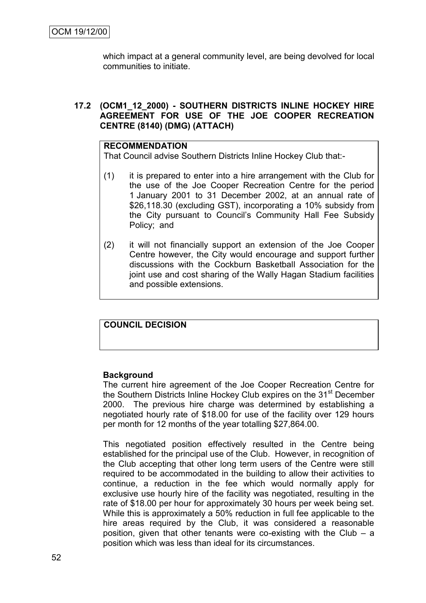which impact at a general community level, are being devolved for local communities to initiate.

### **17.2 (OCM1\_12\_2000) - SOUTHERN DISTRICTS INLINE HOCKEY HIRE AGREEMENT FOR USE OF THE JOE COOPER RECREATION CENTRE (8140) (DMG) (ATTACH)**

#### **RECOMMENDATION**

That Council advise Southern Districts Inline Hockey Club that:-

- (1) it is prepared to enter into a hire arrangement with the Club for the use of the Joe Cooper Recreation Centre for the period 1 January 2001 to 31 December 2002, at an annual rate of \$26,118.30 (excluding GST), incorporating a 10% subsidy from the City pursuant to Council"s Community Hall Fee Subsidy Policy; and
- (2) it will not financially support an extension of the Joe Cooper Centre however, the City would encourage and support further discussions with the Cockburn Basketball Association for the joint use and cost sharing of the Wally Hagan Stadium facilities and possible extensions.

# **COUNCIL DECISION**

#### **Background**

The current hire agreement of the Joe Cooper Recreation Centre for the Southern Districts Inline Hockey Club expires on the 31<sup>st</sup> December 2000. The previous hire charge was determined by establishing a negotiated hourly rate of \$18.00 for use of the facility over 129 hours per month for 12 months of the year totalling \$27,864.00.

This negotiated position effectively resulted in the Centre being established for the principal use of the Club. However, in recognition of the Club accepting that other long term users of the Centre were still required to be accommodated in the building to allow their activities to continue, a reduction in the fee which would normally apply for exclusive use hourly hire of the facility was negotiated, resulting in the rate of \$18.00 per hour for approximately 30 hours per week being set. While this is approximately a 50% reduction in full fee applicable to the hire areas required by the Club, it was considered a reasonable position, given that other tenants were co-existing with the Club – a position which was less than ideal for its circumstances.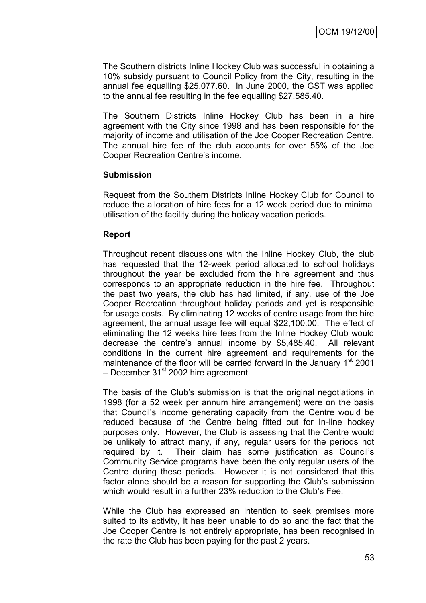The Southern districts Inline Hockey Club was successful in obtaining a 10% subsidy pursuant to Council Policy from the City, resulting in the annual fee equalling \$25,077.60. In June 2000, the GST was applied to the annual fee resulting in the fee equalling \$27,585.40.

The Southern Districts Inline Hockey Club has been in a hire agreement with the City since 1998 and has been responsible for the majority of income and utilisation of the Joe Cooper Recreation Centre. The annual hire fee of the club accounts for over 55% of the Joe Cooper Recreation Centre"s income.

### **Submission**

Request from the Southern Districts Inline Hockey Club for Council to reduce the allocation of hire fees for a 12 week period due to minimal utilisation of the facility during the holiday vacation periods.

### **Report**

Throughout recent discussions with the Inline Hockey Club, the club has requested that the 12-week period allocated to school holidays throughout the year be excluded from the hire agreement and thus corresponds to an appropriate reduction in the hire fee. Throughout the past two years, the club has had limited, if any, use of the Joe Cooper Recreation throughout holiday periods and yet is responsible for usage costs. By eliminating 12 weeks of centre usage from the hire agreement, the annual usage fee will equal \$22,100.00. The effect of eliminating the 12 weeks hire fees from the Inline Hockey Club would decrease the centre"s annual income by \$5,485.40. All relevant conditions in the current hire agreement and requirements for the maintenance of the floor will be carried forward in the January 1<sup>st</sup> 2001 – December  $31<sup>st</sup>$  2002 hire agreement

The basis of the Club"s submission is that the original negotiations in 1998 (for a 52 week per annum hire arrangement) were on the basis that Council"s income generating capacity from the Centre would be reduced because of the Centre being fitted out for In-line hockey purposes only. However, the Club is assessing that the Centre would be unlikely to attract many, if any, regular users for the periods not required by it. Their claim has some justification as Council"s Community Service programs have been the only regular users of the Centre during these periods. However it is not considered that this factor alone should be a reason for supporting the Club's submission which would result in a further 23% reduction to the Club"s Fee.

While the Club has expressed an intention to seek premises more suited to its activity, it has been unable to do so and the fact that the Joe Cooper Centre is not entirely appropriate, has been recognised in the rate the Club has been paying for the past 2 years.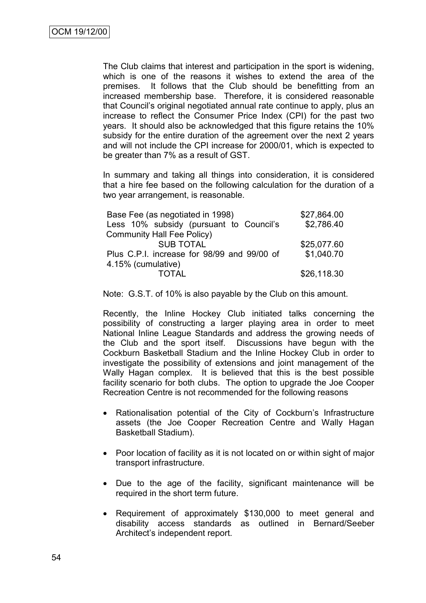The Club claims that interest and participation in the sport is widening, which is one of the reasons it wishes to extend the area of the premises. It follows that the Club should be benefitting from an increased membership base. Therefore, it is considered reasonable that Council"s original negotiated annual rate continue to apply, plus an increase to reflect the Consumer Price Index (CPI) for the past two years. It should also be acknowledged that this figure retains the 10% subsidy for the entire duration of the agreement over the next 2 years and will not include the CPI increase for 2000/01, which is expected to be greater than 7% as a result of GST.

In summary and taking all things into consideration, it is considered that a hire fee based on the following calculation for the duration of a two year arrangement, is reasonable.

| Base Fee (as negotiated in 1998)            | \$27,864.00 |
|---------------------------------------------|-------------|
| Less 10% subsidy (pursuant to Council's     | \$2,786.40  |
| <b>Community Hall Fee Policy)</b>           |             |
| <b>SUB TOTAL</b>                            | \$25,077.60 |
| Plus C.P.I. increase for 98/99 and 99/00 of | \$1,040.70  |
| 4.15% (cumulative)                          |             |
| <b>TOTAL</b>                                | \$26,118.30 |

Note: G.S.T. of 10% is also payable by the Club on this amount.

Recently, the Inline Hockey Club initiated talks concerning the possibility of constructing a larger playing area in order to meet National Inline League Standards and address the growing needs of the Club and the sport itself. Discussions have begun with the Cockburn Basketball Stadium and the Inline Hockey Club in order to investigate the possibility of extensions and joint management of the Wally Hagan complex. It is believed that this is the best possible facility scenario for both clubs. The option to upgrade the Joe Cooper Recreation Centre is not recommended for the following reasons

- Rationalisation potential of the City of Cockburn's Infrastructure assets (the Joe Cooper Recreation Centre and Wally Hagan Basketball Stadium).
- Poor location of facility as it is not located on or within sight of major transport infrastructure.
- Due to the age of the facility, significant maintenance will be required in the short term future.
- Requirement of approximately \$130,000 to meet general and disability access standards as outlined in Bernard/Seeber Architect"s independent report.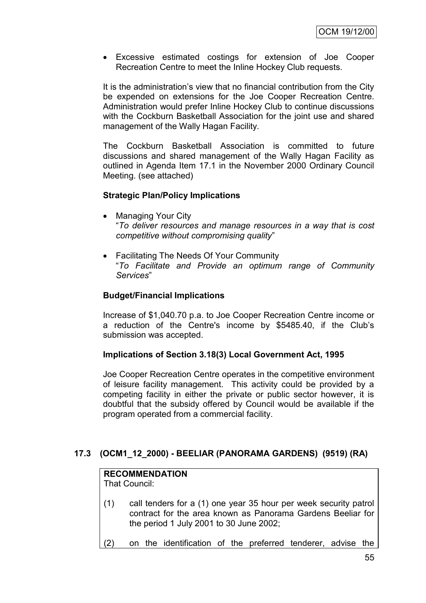Excessive estimated costings for extension of Joe Cooper Recreation Centre to meet the Inline Hockey Club requests.

It is the administration"s view that no financial contribution from the City be expended on extensions for the Joe Cooper Recreation Centre. Administration would prefer Inline Hockey Club to continue discussions with the Cockburn Basketball Association for the joint use and shared management of the Wally Hagan Facility.

The Cockburn Basketball Association is committed to future discussions and shared management of the Wally Hagan Facility as outlined in Agenda Item 17.1 in the November 2000 Ordinary Council Meeting. (see attached)

### **Strategic Plan/Policy Implications**

- Managing Your City "*To deliver resources and manage resources in a way that is cost competitive without compromising quality*"
- Facilitating The Needs Of Your Community "*To Facilitate and Provide an optimum range of Community Services*"

### **Budget/Financial Implications**

Increase of \$1,040.70 p.a. to Joe Cooper Recreation Centre income or a reduction of the Centre's income by \$5485.40, if the Club"s submission was accepted.

### **Implications of Section 3.18(3) Local Government Act, 1995**

Joe Cooper Recreation Centre operates in the competitive environment of leisure facility management. This activity could be provided by a competing facility in either the private or public sector however, it is doubtful that the subsidy offered by Council would be available if the program operated from a commercial facility.

# **17.3 (OCM1\_12\_2000) - BEELIAR (PANORAMA GARDENS) (9519) (RA)**

### **RECOMMENDATION**

That Council:

- (1) call tenders for a (1) one year 35 hour per week security patrol contract for the area known as Panorama Gardens Beeliar for the period 1 July 2001 to 30 June 2002;
- (2) on the identification of the preferred tenderer, advise the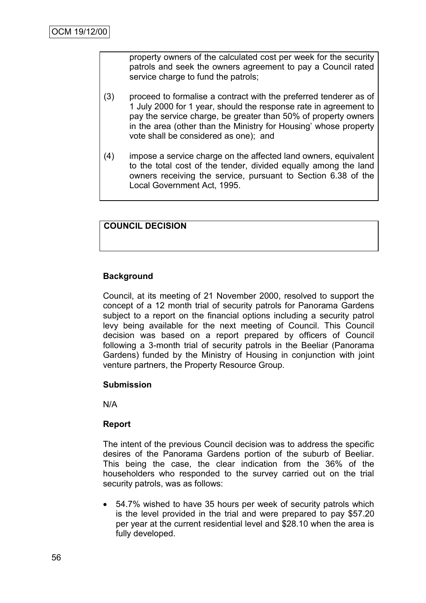property owners of the calculated cost per week for the security patrols and seek the owners agreement to pay a Council rated service charge to fund the patrols;

- (3) proceed to formalise a contract with the preferred tenderer as of 1 July 2000 for 1 year, should the response rate in agreement to pay the service charge, be greater than 50% of property owners in the area (other than the Ministry for Housing' whose property vote shall be considered as one); and
- (4) impose a service charge on the affected land owners, equivalent to the total cost of the tender, divided equally among the land owners receiving the service, pursuant to Section 6.38 of the Local Government Act, 1995.

### **COUNCIL DECISION**

# **Background**

Council, at its meeting of 21 November 2000, resolved to support the concept of a 12 month trial of security patrols for Panorama Gardens subject to a report on the financial options including a security patrol levy being available for the next meeting of Council. This Council decision was based on a report prepared by officers of Council following a 3-month trial of security patrols in the Beeliar (Panorama Gardens) funded by the Ministry of Housing in conjunction with joint venture partners, the Property Resource Group.

### **Submission**

N/A

### **Report**

The intent of the previous Council decision was to address the specific desires of the Panorama Gardens portion of the suburb of Beeliar. This being the case, the clear indication from the 36% of the householders who responded to the survey carried out on the trial security patrols, was as follows:

 54.7% wished to have 35 hours per week of security patrols which is the level provided in the trial and were prepared to pay \$57.20 per year at the current residential level and \$28.10 when the area is fully developed.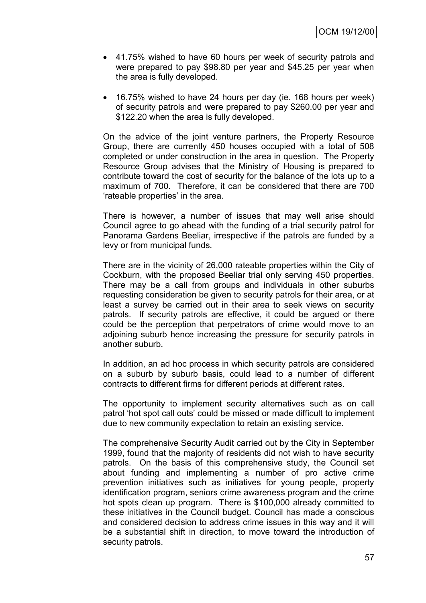- 41.75% wished to have 60 hours per week of security patrols and were prepared to pay \$98.80 per year and \$45.25 per year when the area is fully developed.
- 16.75% wished to have 24 hours per day (ie. 168 hours per week) of security patrols and were prepared to pay \$260.00 per year and \$122.20 when the area is fully developed.

On the advice of the joint venture partners, the Property Resource Group, there are currently 450 houses occupied with a total of 508 completed or under construction in the area in question. The Property Resource Group advises that the Ministry of Housing is prepared to contribute toward the cost of security for the balance of the lots up to a maximum of 700. Therefore, it can be considered that there are 700 'rateable properties' in the area.

There is however, a number of issues that may well arise should Council agree to go ahead with the funding of a trial security patrol for Panorama Gardens Beeliar, irrespective if the patrols are funded by a levy or from municipal funds.

There are in the vicinity of 26,000 rateable properties within the City of Cockburn, with the proposed Beeliar trial only serving 450 properties. There may be a call from groups and individuals in other suburbs requesting consideration be given to security patrols for their area, or at least a survey be carried out in their area to seek views on security patrols. If security patrols are effective, it could be argued or there could be the perception that perpetrators of crime would move to an adjoining suburb hence increasing the pressure for security patrols in another suburb.

In addition, an ad hoc process in which security patrols are considered on a suburb by suburb basis, could lead to a number of different contracts to different firms for different periods at different rates.

The opportunity to implement security alternatives such as on call patrol "hot spot call outs" could be missed or made difficult to implement due to new community expectation to retain an existing service.

The comprehensive Security Audit carried out by the City in September 1999, found that the majority of residents did not wish to have security patrols. On the basis of this comprehensive study, the Council set about funding and implementing a number of pro active crime prevention initiatives such as initiatives for young people, property identification program, seniors crime awareness program and the crime hot spots clean up program. There is \$100,000 already committed to these initiatives in the Council budget. Council has made a conscious and considered decision to address crime issues in this way and it will be a substantial shift in direction, to move toward the introduction of security patrols.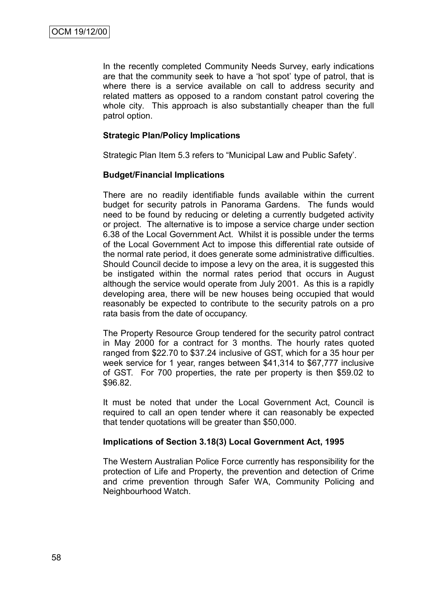In the recently completed Community Needs Survey, early indications are that the community seek to have a "hot spot" type of patrol, that is where there is a service available on call to address security and related matters as opposed to a random constant patrol covering the whole city. This approach is also substantially cheaper than the full patrol option.

### **Strategic Plan/Policy Implications**

Strategic Plan Item 5.3 refers to "Municipal Law and Public Safety".

### **Budget/Financial Implications**

There are no readily identifiable funds available within the current budget for security patrols in Panorama Gardens. The funds would need to be found by reducing or deleting a currently budgeted activity or project. The alternative is to impose a service charge under section 6.38 of the Local Government Act. Whilst it is possible under the terms of the Local Government Act to impose this differential rate outside of the normal rate period, it does generate some administrative difficulties. Should Council decide to impose a levy on the area, it is suggested this be instigated within the normal rates period that occurs in August although the service would operate from July 2001. As this is a rapidly developing area, there will be new houses being occupied that would reasonably be expected to contribute to the security patrols on a pro rata basis from the date of occupancy.

The Property Resource Group tendered for the security patrol contract in May 2000 for a contract for 3 months. The hourly rates quoted ranged from \$22.70 to \$37.24 inclusive of GST, which for a 35 hour per week service for 1 year, ranges between \$41,314 to \$67,777 inclusive of GST. For 700 properties, the rate per property is then \$59.02 to \$96.82.

It must be noted that under the Local Government Act, Council is required to call an open tender where it can reasonably be expected that tender quotations will be greater than \$50,000.

### **Implications of Section 3.18(3) Local Government Act, 1995**

The Western Australian Police Force currently has responsibility for the protection of Life and Property, the prevention and detection of Crime and crime prevention through Safer WA, Community Policing and Neighbourhood Watch.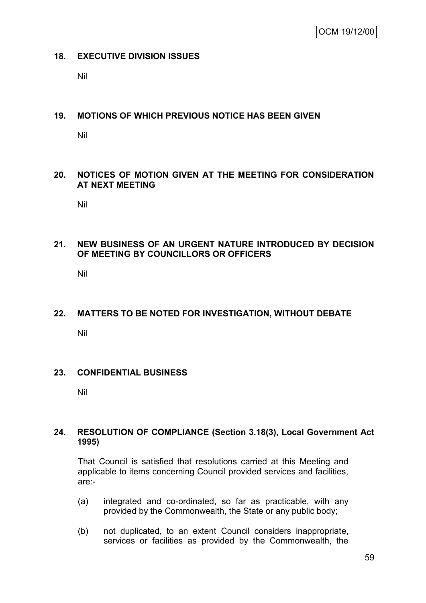### **18. EXECUTIVE DIVISION ISSUES**

Nil

### **19. MOTIONS OF WHICH PREVIOUS NOTICE HAS BEEN GIVEN**

Nil

### **20. NOTICES OF MOTION GIVEN AT THE MEETING FOR CONSIDERATION AT NEXT MEETING**

Nil

### **21. NEW BUSINESS OF AN URGENT NATURE INTRODUCED BY DECISION OF MEETING BY COUNCILLORS OR OFFICERS**

Nil

# **22. MATTERS TO BE NOTED FOR INVESTIGATION, WITHOUT DEBATE**

Nil

### **23. CONFIDENTIAL BUSINESS**

Nil

### **24. RESOLUTION OF COMPLIANCE (Section 3.18(3), Local Government Act 1995)**

That Council is satisfied that resolutions carried at this Meeting and applicable to items concerning Council provided services and facilities, are:-

- (a) integrated and co-ordinated, so far as practicable, with any provided by the Commonwealth, the State or any public body;
- (b) not duplicated, to an extent Council considers inappropriate, services or facilities as provided by the Commonwealth, the